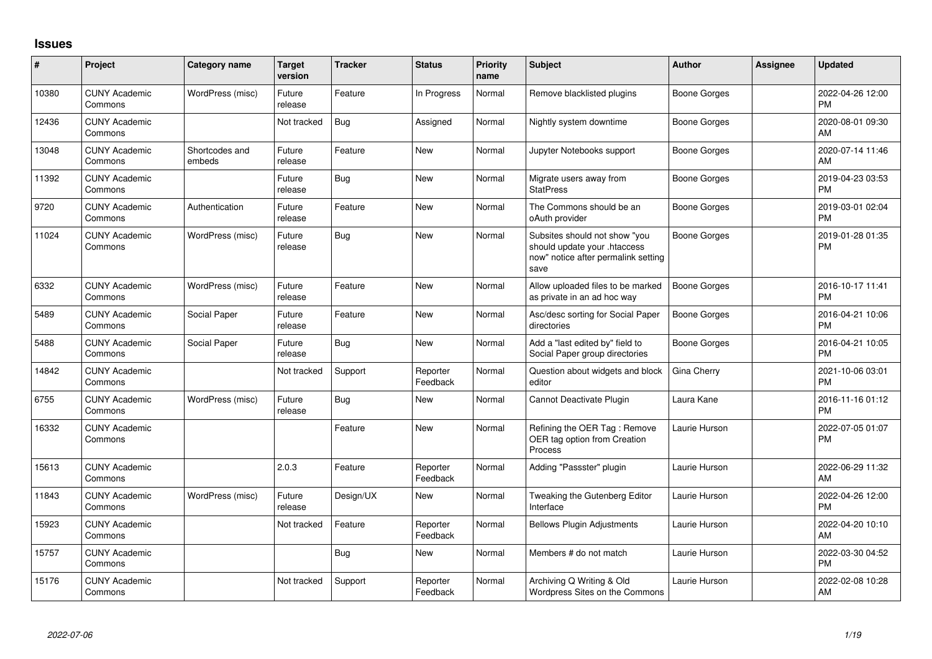## **Issues**

| #     | Project                         | <b>Category name</b>     | <b>Target</b><br>version | <b>Tracker</b> | <b>Status</b>        | Priority<br>name | <b>Subject</b>                                                                                               | <b>Author</b>       | Assignee | <b>Updated</b>                |
|-------|---------------------------------|--------------------------|--------------------------|----------------|----------------------|------------------|--------------------------------------------------------------------------------------------------------------|---------------------|----------|-------------------------------|
| 10380 | <b>CUNY Academic</b><br>Commons | WordPress (misc)         | Future<br>release        | Feature        | In Progress          | Normal           | Remove blacklisted plugins                                                                                   | Boone Gorges        |          | 2022-04-26 12:00<br><b>PM</b> |
| 12436 | <b>CUNY Academic</b><br>Commons |                          | Not tracked              | Bug            | Assigned             | Normal           | Nightly system downtime                                                                                      | Boone Gorges        |          | 2020-08-01 09:30<br>AM        |
| 13048 | <b>CUNY Academic</b><br>Commons | Shortcodes and<br>embeds | Future<br>release        | Feature        | <b>New</b>           | Normal           | Jupyter Notebooks support                                                                                    | <b>Boone Gorges</b> |          | 2020-07-14 11:46<br>AM        |
| 11392 | <b>CUNY Academic</b><br>Commons |                          | Future<br>release        | Bug            | <b>New</b>           | Normal           | Migrate users away from<br><b>StatPress</b>                                                                  | <b>Boone Gorges</b> |          | 2019-04-23 03:53<br><b>PM</b> |
| 9720  | <b>CUNY Academic</b><br>Commons | Authentication           | Future<br>release        | Feature        | <b>New</b>           | Normal           | The Commons should be an<br>oAuth provider                                                                   | Boone Gorges        |          | 2019-03-01 02:04<br><b>PM</b> |
| 11024 | <b>CUNY Academic</b><br>Commons | WordPress (misc)         | Future<br>release        | <b>Bug</b>     | New                  | Normal           | Subsites should not show "you<br>should update your .htaccess<br>now" notice after permalink setting<br>save | Boone Gorges        |          | 2019-01-28 01:35<br><b>PM</b> |
| 6332  | <b>CUNY Academic</b><br>Commons | WordPress (misc)         | Future<br>release        | Feature        | New                  | Normal           | Allow uploaded files to be marked<br>as private in an ad hoc way                                             | <b>Boone Gorges</b> |          | 2016-10-17 11:41<br><b>PM</b> |
| 5489  | <b>CUNY Academic</b><br>Commons | Social Paper             | Future<br>release        | Feature        | <b>New</b>           | Normal           | Asc/desc sorting for Social Paper<br>directories                                                             | <b>Boone Gorges</b> |          | 2016-04-21 10:06<br><b>PM</b> |
| 5488  | <b>CUNY Academic</b><br>Commons | Social Paper             | Future<br>release        | <b>Bug</b>     | <b>New</b>           | Normal           | Add a "last edited by" field to<br>Social Paper group directories                                            | <b>Boone Gorges</b> |          | 2016-04-21 10:05<br><b>PM</b> |
| 14842 | <b>CUNY Academic</b><br>Commons |                          | Not tracked              | Support        | Reporter<br>Feedback | Normal           | Question about widgets and block<br>editor                                                                   | Gina Cherry         |          | 2021-10-06 03:01<br><b>PM</b> |
| 6755  | <b>CUNY Academic</b><br>Commons | WordPress (misc)         | Future<br>release        | <b>Bug</b>     | <b>New</b>           | Normal           | Cannot Deactivate Plugin                                                                                     | Laura Kane          |          | 2016-11-16 01:12<br><b>PM</b> |
| 16332 | <b>CUNY Academic</b><br>Commons |                          |                          | Feature        | <b>New</b>           | Normal           | Refining the OER Tag: Remove<br>OER tag option from Creation<br>Process                                      | Laurie Hurson       |          | 2022-07-05 01:07<br><b>PM</b> |
| 15613 | <b>CUNY Academic</b><br>Commons |                          | 2.0.3                    | Feature        | Reporter<br>Feedback | Normal           | Adding "Passster" plugin                                                                                     | Laurie Hurson       |          | 2022-06-29 11:32<br>AM        |
| 11843 | <b>CUNY Academic</b><br>Commons | WordPress (misc)         | Future<br>release        | Design/UX      | New                  | Normal           | Tweaking the Gutenberg Editor<br>Interface                                                                   | Laurie Hurson       |          | 2022-04-26 12:00<br><b>PM</b> |
| 15923 | <b>CUNY Academic</b><br>Commons |                          | Not tracked              | Feature        | Reporter<br>Feedback | Normal           | <b>Bellows Plugin Adjustments</b>                                                                            | Laurie Hurson       |          | 2022-04-20 10:10<br>AM        |
| 15757 | <b>CUNY Academic</b><br>Commons |                          |                          | Bug            | New                  | Normal           | Members # do not match                                                                                       | Laurie Hurson       |          | 2022-03-30 04:52<br><b>PM</b> |
| 15176 | <b>CUNY Academic</b><br>Commons |                          | Not tracked              | Support        | Reporter<br>Feedback | Normal           | Archiving Q Writing & Old<br>Wordpress Sites on the Commons                                                  | Laurie Hurson       |          | 2022-02-08 10:28<br>AM        |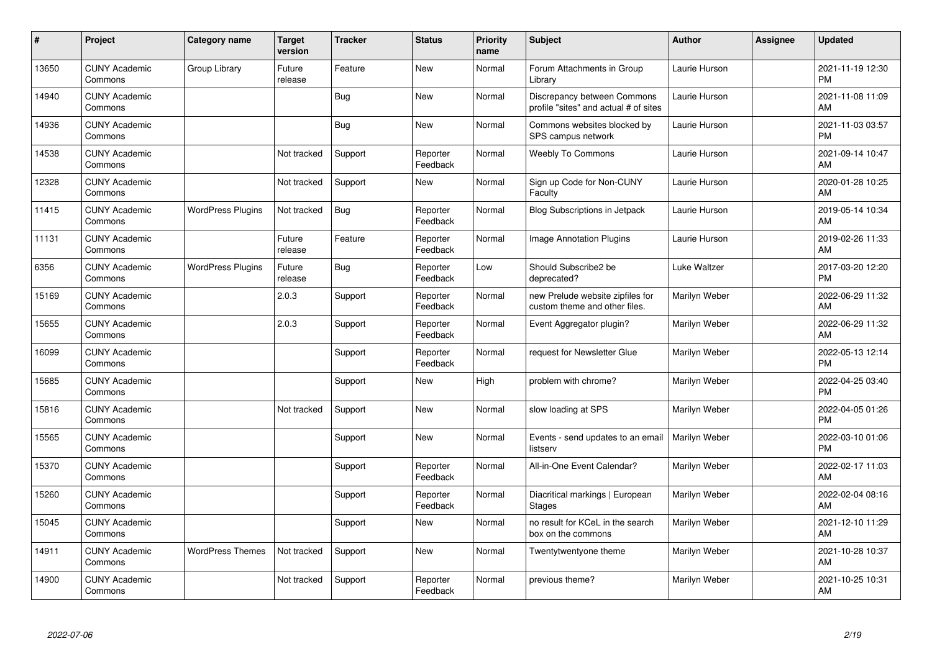| #     | Project                         | Category name            | <b>Target</b><br>version | <b>Tracker</b> | <b>Status</b>        | <b>Priority</b><br>name | <b>Subject</b>                                                       | <b>Author</b> | <b>Assignee</b> | <b>Updated</b>                |
|-------|---------------------------------|--------------------------|--------------------------|----------------|----------------------|-------------------------|----------------------------------------------------------------------|---------------|-----------------|-------------------------------|
| 13650 | <b>CUNY Academic</b><br>Commons | Group Library            | Future<br>release        | Feature        | <b>New</b>           | Normal                  | Forum Attachments in Group<br>Librarv                                | Laurie Hurson |                 | 2021-11-19 12:30<br><b>PM</b> |
| 14940 | <b>CUNY Academic</b><br>Commons |                          |                          | Bug            | New                  | Normal                  | Discrepancy between Commons<br>profile "sites" and actual # of sites | Laurie Hurson |                 | 2021-11-08 11:09<br>AM        |
| 14936 | <b>CUNY Academic</b><br>Commons |                          |                          | Bug            | <b>New</b>           | Normal                  | Commons websites blocked by<br>SPS campus network                    | Laurie Hurson |                 | 2021-11-03 03:57<br><b>PM</b> |
| 14538 | <b>CUNY Academic</b><br>Commons |                          | Not tracked              | Support        | Reporter<br>Feedback | Normal                  | <b>Weebly To Commons</b>                                             | Laurie Hurson |                 | 2021-09-14 10:47<br>AM        |
| 12328 | <b>CUNY Academic</b><br>Commons |                          | Not tracked              | Support        | <b>New</b>           | Normal                  | Sign up Code for Non-CUNY<br>Faculty                                 | Laurie Hurson |                 | 2020-01-28 10:25<br>AM        |
| 11415 | <b>CUNY Academic</b><br>Commons | <b>WordPress Plugins</b> | Not tracked              | Bug            | Reporter<br>Feedback | Normal                  | <b>Blog Subscriptions in Jetpack</b>                                 | Laurie Hurson |                 | 2019-05-14 10:34<br>AM        |
| 11131 | <b>CUNY Academic</b><br>Commons |                          | Future<br>release        | Feature        | Reporter<br>Feedback | Normal                  | Image Annotation Plugins                                             | Laurie Hurson |                 | 2019-02-26 11:33<br>AM        |
| 6356  | <b>CUNY Academic</b><br>Commons | <b>WordPress Plugins</b> | Future<br>release        | Bug            | Reporter<br>Feedback | Low                     | Should Subscribe2 be<br>deprecated?                                  | Luke Waltzer  |                 | 2017-03-20 12:20<br><b>PM</b> |
| 15169 | <b>CUNY Academic</b><br>Commons |                          | 2.0.3                    | Support        | Reporter<br>Feedback | Normal                  | new Prelude website zipfiles for<br>custom theme and other files.    | Marilyn Weber |                 | 2022-06-29 11:32<br>AM        |
| 15655 | <b>CUNY Academic</b><br>Commons |                          | 2.0.3                    | Support        | Reporter<br>Feedback | Normal                  | Event Aggregator plugin?                                             | Marilyn Weber |                 | 2022-06-29 11:32<br>AM        |
| 16099 | <b>CUNY Academic</b><br>Commons |                          |                          | Support        | Reporter<br>Feedback | Normal                  | request for Newsletter Glue                                          | Marilyn Weber |                 | 2022-05-13 12:14<br><b>PM</b> |
| 15685 | <b>CUNY Academic</b><br>Commons |                          |                          | Support        | New                  | High                    | problem with chrome?                                                 | Marilyn Weber |                 | 2022-04-25 03:40<br><b>PM</b> |
| 15816 | <b>CUNY Academic</b><br>Commons |                          | Not tracked              | Support        | <b>New</b>           | Normal                  | slow loading at SPS                                                  | Marilyn Weber |                 | 2022-04-05 01:26<br><b>PM</b> |
| 15565 | <b>CUNY Academic</b><br>Commons |                          |                          | Support        | <b>New</b>           | Normal                  | Events - send updates to an email<br>listserv                        | Marilyn Weber |                 | 2022-03-10 01:06<br><b>PM</b> |
| 15370 | <b>CUNY Academic</b><br>Commons |                          |                          | Support        | Reporter<br>Feedback | Normal                  | All-in-One Event Calendar?                                           | Marilyn Weber |                 | 2022-02-17 11:03<br>AM        |
| 15260 | <b>CUNY Academic</b><br>Commons |                          |                          | Support        | Reporter<br>Feedback | Normal                  | Diacritical markings   European<br>Stages                            | Marilyn Weber |                 | 2022-02-04 08:16<br><b>AM</b> |
| 15045 | <b>CUNY Academic</b><br>Commons |                          |                          | Support        | <b>New</b>           | Normal                  | no result for KCeL in the search<br>box on the commons               | Marilyn Weber |                 | 2021-12-10 11:29<br>AM        |
| 14911 | <b>CUNY Academic</b><br>Commons | <b>WordPress Themes</b>  | Not tracked              | Support        | <b>New</b>           | Normal                  | Twentytwentyone theme                                                | Marilyn Weber |                 | 2021-10-28 10:37<br>AM        |
| 14900 | <b>CUNY Academic</b><br>Commons |                          | Not tracked              | Support        | Reporter<br>Feedback | Normal                  | previous theme?                                                      | Marilyn Weber |                 | 2021-10-25 10:31<br>AM        |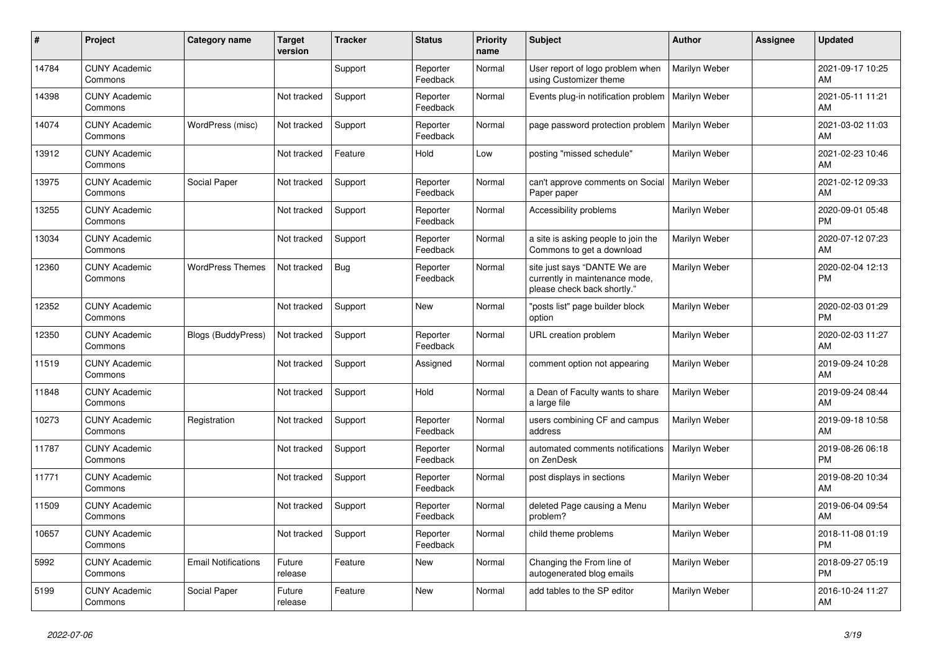| #     | Project                         | <b>Category name</b>       | <b>Target</b><br>version | <b>Tracker</b> | <b>Status</b>        | <b>Priority</b><br>name | <b>Subject</b>                                                                                | <b>Author</b>        | <b>Assignee</b> | <b>Updated</b>                |
|-------|---------------------------------|----------------------------|--------------------------|----------------|----------------------|-------------------------|-----------------------------------------------------------------------------------------------|----------------------|-----------------|-------------------------------|
| 14784 | <b>CUNY Academic</b><br>Commons |                            |                          | Support        | Reporter<br>Feedback | Normal                  | User report of logo problem when<br>using Customizer theme                                    | Marilyn Weber        |                 | 2021-09-17 10:25<br>AM        |
| 14398 | <b>CUNY Academic</b><br>Commons |                            | Not tracked              | Support        | Reporter<br>Feedback | Normal                  | Events plug-in notification problem                                                           | <b>Marilyn Weber</b> |                 | 2021-05-11 11:21<br>AM        |
| 14074 | <b>CUNY Academic</b><br>Commons | WordPress (misc)           | Not tracked              | Support        | Reporter<br>Feedback | Normal                  | page password protection problem                                                              | Marilyn Weber        |                 | 2021-03-02 11:03<br>AM        |
| 13912 | <b>CUNY Academic</b><br>Commons |                            | Not tracked              | Feature        | Hold                 | Low                     | posting "missed schedule"                                                                     | Marilyn Weber        |                 | 2021-02-23 10:46<br>AM        |
| 13975 | <b>CUNY Academic</b><br>Commons | Social Paper               | Not tracked              | Support        | Reporter<br>Feedback | Normal                  | can't approve comments on Social<br>Paper paper                                               | Marilyn Weber        |                 | 2021-02-12 09:33<br>AM        |
| 13255 | <b>CUNY Academic</b><br>Commons |                            | Not tracked              | Support        | Reporter<br>Feedback | Normal                  | Accessibility problems                                                                        | Marilyn Weber        |                 | 2020-09-01 05:48<br><b>PM</b> |
| 13034 | <b>CUNY Academic</b><br>Commons |                            | Not tracked              | Support        | Reporter<br>Feedback | Normal                  | a site is asking people to join the<br>Commons to get a download                              | Marilyn Weber        |                 | 2020-07-12 07:23<br>AM        |
| 12360 | <b>CUNY Academic</b><br>Commons | <b>WordPress Themes</b>    | Not tracked              | Bug            | Reporter<br>Feedback | Normal                  | site just says "DANTE We are<br>currently in maintenance mode,<br>please check back shortly." | Marilyn Weber        |                 | 2020-02-04 12:13<br><b>PM</b> |
| 12352 | <b>CUNY Academic</b><br>Commons |                            | Not tracked              | Support        | New                  | Normal                  | "posts list" page builder block<br>option                                                     | Marilyn Weber        |                 | 2020-02-03 01:29<br><b>PM</b> |
| 12350 | <b>CUNY Academic</b><br>Commons | <b>Blogs (BuddyPress)</b>  | Not tracked              | Support        | Reporter<br>Feedback | Normal                  | URL creation problem                                                                          | Marilyn Weber        |                 | 2020-02-03 11:27<br>AM        |
| 11519 | <b>CUNY Academic</b><br>Commons |                            | Not tracked              | Support        | Assigned             | Normal                  | comment option not appearing                                                                  | Marilyn Weber        |                 | 2019-09-24 10:28<br>AM        |
| 11848 | <b>CUNY Academic</b><br>Commons |                            | Not tracked              | Support        | Hold                 | Normal                  | a Dean of Faculty wants to share<br>a large file                                              | Marilyn Weber        |                 | 2019-09-24 08:44<br>AM        |
| 10273 | <b>CUNY Academic</b><br>Commons | Registration               | Not tracked              | Support        | Reporter<br>Feedback | Normal                  | users combining CF and campus<br>address                                                      | Marilyn Weber        |                 | 2019-09-18 10:58<br>AM        |
| 11787 | <b>CUNY Academic</b><br>Commons |                            | Not tracked              | Support        | Reporter<br>Feedback | Normal                  | automated comments notifications<br>on ZenDesk                                                | Marilyn Weber        |                 | 2019-08-26 06:18<br><b>PM</b> |
| 11771 | <b>CUNY Academic</b><br>Commons |                            | Not tracked              | Support        | Reporter<br>Feedback | Normal                  | post displays in sections                                                                     | Marilyn Weber        |                 | 2019-08-20 10:34<br>AM        |
| 11509 | <b>CUNY Academic</b><br>Commons |                            | Not tracked              | Support        | Reporter<br>Feedback | Normal                  | deleted Page causing a Menu<br>problem?                                                       | Marilyn Weber        |                 | 2019-06-04 09:54<br>AM        |
| 10657 | <b>CUNY Academic</b><br>Commons |                            | Not tracked              | Support        | Reporter<br>Feedback | Normal                  | child theme problems                                                                          | Marilyn Weber        |                 | 2018-11-08 01:19<br><b>PM</b> |
| 5992  | <b>CUNY Academic</b><br>Commons | <b>Email Notifications</b> | Future<br>release        | Feature        | New                  | Normal                  | Changing the From line of<br>autogenerated blog emails                                        | Marilyn Weber        |                 | 2018-09-27 05:19<br><b>PM</b> |
| 5199  | <b>CUNY Academic</b><br>Commons | Social Paper               | Future<br>release        | Feature        | <b>New</b>           | Normal                  | add tables to the SP editor                                                                   | Marilyn Weber        |                 | 2016-10-24 11:27<br>AM        |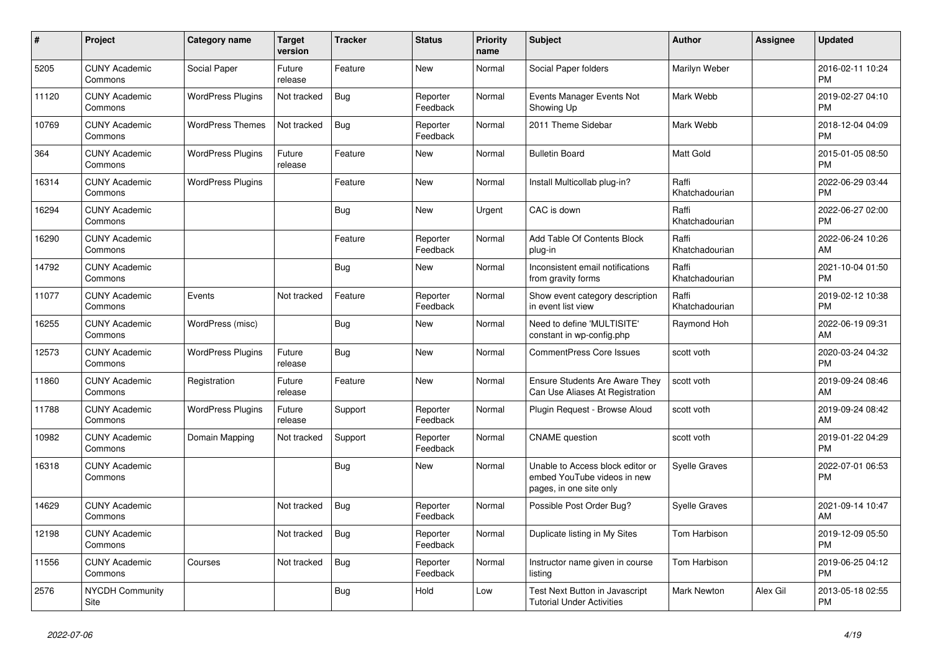| $\pmb{\#}$ | Project                         | <b>Category name</b>     | <b>Target</b><br>version | <b>Tracker</b> | <b>Status</b>        | <b>Priority</b><br>name | <b>Subject</b>                                                                             | <b>Author</b>           | Assignee | <b>Updated</b>                |
|------------|---------------------------------|--------------------------|--------------------------|----------------|----------------------|-------------------------|--------------------------------------------------------------------------------------------|-------------------------|----------|-------------------------------|
| 5205       | <b>CUNY Academic</b><br>Commons | Social Paper             | Future<br>release        | Feature        | <b>New</b>           | Normal                  | Social Paper folders                                                                       | Marilyn Weber           |          | 2016-02-11 10:24<br><b>PM</b> |
| 11120      | <b>CUNY Academic</b><br>Commons | <b>WordPress Plugins</b> | Not tracked              | Bug            | Reporter<br>Feedback | Normal                  | Events Manager Events Not<br>Showing Up                                                    | Mark Webb               |          | 2019-02-27 04:10<br><b>PM</b> |
| 10769      | <b>CUNY Academic</b><br>Commons | <b>WordPress Themes</b>  | Not tracked              | Bug            | Reporter<br>Feedback | Normal                  | 2011 Theme Sidebar                                                                         | Mark Webb               |          | 2018-12-04 04:09<br><b>PM</b> |
| 364        | <b>CUNY Academic</b><br>Commons | <b>WordPress Plugins</b> | Future<br>release        | Feature        | <b>New</b>           | Normal                  | <b>Bulletin Board</b>                                                                      | <b>Matt Gold</b>        |          | 2015-01-05 08:50<br><b>PM</b> |
| 16314      | <b>CUNY Academic</b><br>Commons | <b>WordPress Plugins</b> |                          | Feature        | <b>New</b>           | Normal                  | Install Multicollab plug-in?                                                               | Raffi<br>Khatchadourian |          | 2022-06-29 03:44<br><b>PM</b> |
| 16294      | <b>CUNY Academic</b><br>Commons |                          |                          | Bug            | New                  | Urgent                  | CAC is down                                                                                | Raffi<br>Khatchadourian |          | 2022-06-27 02:00<br><b>PM</b> |
| 16290      | <b>CUNY Academic</b><br>Commons |                          |                          | Feature        | Reporter<br>Feedback | Normal                  | Add Table Of Contents Block<br>plug-in                                                     | Raffi<br>Khatchadourian |          | 2022-06-24 10:26<br>AM        |
| 14792      | <b>CUNY Academic</b><br>Commons |                          |                          | <b>Bug</b>     | New                  | Normal                  | Inconsistent email notifications<br>from gravity forms                                     | Raffi<br>Khatchadourian |          | 2021-10-04 01:50<br><b>PM</b> |
| 11077      | <b>CUNY Academic</b><br>Commons | Events                   | Not tracked              | Feature        | Reporter<br>Feedback | Normal                  | Show event category description<br>in event list view                                      | Raffi<br>Khatchadourian |          | 2019-02-12 10:38<br><b>PM</b> |
| 16255      | <b>CUNY Academic</b><br>Commons | WordPress (misc)         |                          | Bug            | <b>New</b>           | Normal                  | Need to define 'MULTISITE'<br>constant in wp-config.php                                    | Raymond Hoh             |          | 2022-06-19 09:31<br>AM        |
| 12573      | <b>CUNY Academic</b><br>Commons | <b>WordPress Plugins</b> | Future<br>release        | Bug            | New                  | Normal                  | <b>CommentPress Core Issues</b>                                                            | scott voth              |          | 2020-03-24 04:32<br><b>PM</b> |
| 11860      | <b>CUNY Academic</b><br>Commons | Registration             | Future<br>release        | Feature        | New                  | Normal                  | <b>Ensure Students Are Aware They</b><br>Can Use Aliases At Registration                   | scott voth              |          | 2019-09-24 08:46<br>AM        |
| 11788      | <b>CUNY Academic</b><br>Commons | <b>WordPress Plugins</b> | Future<br>release        | Support        | Reporter<br>Feedback | Normal                  | Plugin Request - Browse Aloud                                                              | scott voth              |          | 2019-09-24 08:42<br>AM        |
| 10982      | <b>CUNY Academic</b><br>Commons | Domain Mapping           | Not tracked              | Support        | Reporter<br>Feedback | Normal                  | <b>CNAME</b> question                                                                      | scott voth              |          | 2019-01-22 04:29<br><b>PM</b> |
| 16318      | <b>CUNY Academic</b><br>Commons |                          |                          | Bug            | New                  | Normal                  | Unable to Access block editor or<br>embed YouTube videos in new<br>pages, in one site only | <b>Syelle Graves</b>    |          | 2022-07-01 06:53<br>PM        |
| 14629      | <b>CUNY Academic</b><br>Commons |                          | Not tracked              | Bug            | Reporter<br>Feedback | Normal                  | Possible Post Order Bug?                                                                   | <b>Syelle Graves</b>    |          | 2021-09-14 10:47<br>AM        |
| 12198      | <b>CUNY Academic</b><br>Commons |                          | Not tracked              | Bug            | Reporter<br>Feedback | Normal                  | Duplicate listing in My Sites                                                              | Tom Harbison            |          | 2019-12-09 05:50<br><b>PM</b> |
| 11556      | <b>CUNY Academic</b><br>Commons | Courses                  | Not tracked              | <b>Bug</b>     | Reporter<br>Feedback | Normal                  | Instructor name given in course<br>listing                                                 | Tom Harbison            |          | 2019-06-25 04:12<br><b>PM</b> |
| 2576       | <b>NYCDH Community</b><br>Site  |                          |                          | <b>Bug</b>     | Hold                 | Low                     | <b>Test Next Button in Javascript</b><br><b>Tutorial Under Activities</b>                  | <b>Mark Newton</b>      | Alex Gil | 2013-05-18 02:55<br><b>PM</b> |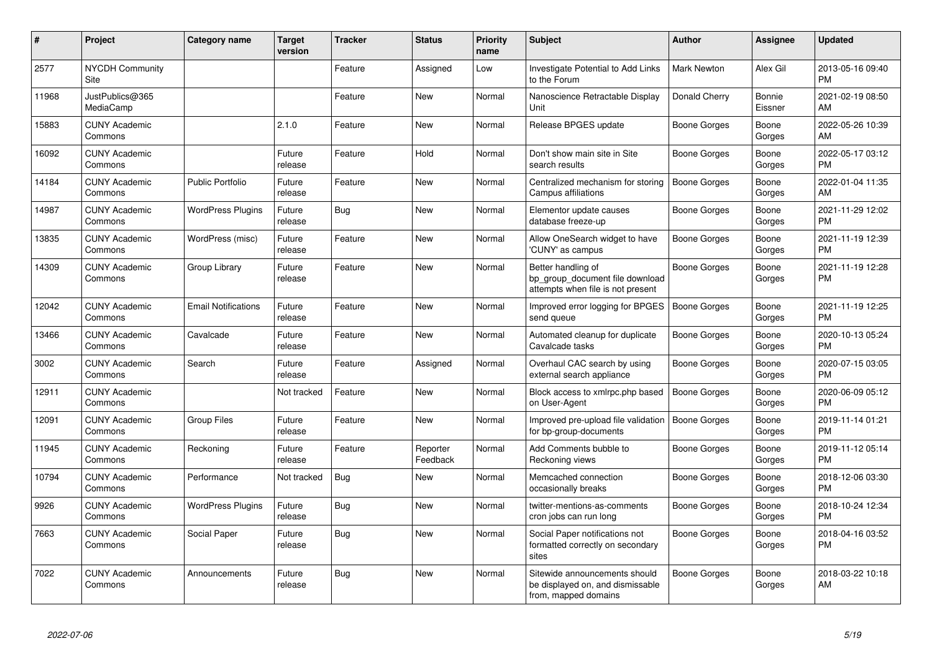| #     | Project                         | <b>Category name</b>       | <b>Target</b><br>version | <b>Tracker</b> | <b>Status</b>        | <b>Priority</b><br>name | <b>Subject</b>                                                                             | <b>Author</b>       | <b>Assignee</b>   | <b>Updated</b>                |
|-------|---------------------------------|----------------------------|--------------------------|----------------|----------------------|-------------------------|--------------------------------------------------------------------------------------------|---------------------|-------------------|-------------------------------|
| 2577  | <b>NYCDH Community</b><br>Site  |                            |                          | Feature        | Assigned             | Low                     | Investigate Potential to Add Links<br>to the Forum                                         | <b>Mark Newton</b>  | Alex Gil          | 2013-05-16 09:40<br><b>PM</b> |
| 11968 | JustPublics@365<br>MediaCamp    |                            |                          | Feature        | New                  | Normal                  | Nanoscience Retractable Display<br>Unit                                                    | Donald Cherry       | Bonnie<br>Eissner | 2021-02-19 08:50<br>AM        |
| 15883 | <b>CUNY Academic</b><br>Commons |                            | 2.1.0                    | Feature        | <b>New</b>           | Normal                  | Release BPGES update                                                                       | Boone Gorges        | Boone<br>Gorges   | 2022-05-26 10:39<br>AM        |
| 16092 | <b>CUNY Academic</b><br>Commons |                            | Future<br>release        | Feature        | Hold                 | Normal                  | Don't show main site in Site<br>search results                                             | Boone Gorges        | Boone<br>Gorges   | 2022-05-17 03:12<br><b>PM</b> |
| 14184 | <b>CUNY Academic</b><br>Commons | <b>Public Portfolio</b>    | Future<br>release        | Feature        | <b>New</b>           | Normal                  | Centralized mechanism for storing<br>Campus affiliations                                   | <b>Boone Gorges</b> | Boone<br>Gorges   | 2022-01-04 11:35<br>AM        |
| 14987 | <b>CUNY Academic</b><br>Commons | <b>WordPress Plugins</b>   | Future<br>release        | <b>Bug</b>     | <b>New</b>           | Normal                  | Elementor update causes<br>database freeze-up                                              | Boone Gorges        | Boone<br>Gorges   | 2021-11-29 12:02<br><b>PM</b> |
| 13835 | <b>CUNY Academic</b><br>Commons | WordPress (misc)           | Future<br>release        | Feature        | <b>New</b>           | Normal                  | Allow OneSearch widget to have<br>'CUNY' as campus                                         | <b>Boone Gorges</b> | Boone<br>Gorges   | 2021-11-19 12:39<br><b>PM</b> |
| 14309 | <b>CUNY Academic</b><br>Commons | Group Library              | Future<br>release        | Feature        | <b>New</b>           | Normal                  | Better handling of<br>bp_group_document file download<br>attempts when file is not present | Boone Gorges        | Boone<br>Gorges   | 2021-11-19 12:28<br><b>PM</b> |
| 12042 | <b>CUNY Academic</b><br>Commons | <b>Email Notifications</b> | Future<br>release        | Feature        | New                  | Normal                  | Improved error logging for BPGES<br>send queue                                             | <b>Boone Gorges</b> | Boone<br>Gorges   | 2021-11-19 12:25<br><b>PM</b> |
| 13466 | <b>CUNY Academic</b><br>Commons | Cavalcade                  | Future<br>release        | Feature        | New                  | Normal                  | Automated cleanup for duplicate<br>Cavalcade tasks                                         | Boone Gorges        | Boone<br>Gorges   | 2020-10-13 05:24<br><b>PM</b> |
| 3002  | <b>CUNY Academic</b><br>Commons | Search                     | Future<br>release        | Feature        | Assigned             | Normal                  | Overhaul CAC search by using<br>external search appliance                                  | Boone Gorges        | Boone<br>Gorges   | 2020-07-15 03:05<br><b>PM</b> |
| 12911 | <b>CUNY Academic</b><br>Commons |                            | Not tracked              | Feature        | <b>New</b>           | Normal                  | Block access to xmlrpc.php based<br>on User-Agent                                          | Boone Gorges        | Boone<br>Gorges   | 2020-06-09 05:12<br><b>PM</b> |
| 12091 | <b>CUNY Academic</b><br>Commons | <b>Group Files</b>         | Future<br>release        | Feature        | <b>New</b>           | Normal                  | Improved pre-upload file validation<br>for bp-group-documents                              | <b>Boone Gorges</b> | Boone<br>Gorges   | 2019-11-14 01:21<br><b>PM</b> |
| 11945 | <b>CUNY Academic</b><br>Commons | Reckoning                  | Future<br>release        | Feature        | Reporter<br>Feedback | Normal                  | Add Comments bubble to<br>Reckoning views                                                  | Boone Gorges        | Boone<br>Gorges   | 2019-11-12 05:14<br><b>PM</b> |
| 10794 | <b>CUNY Academic</b><br>Commons | Performance                | Not tracked              | <b>Bug</b>     | <b>New</b>           | Normal                  | Memcached connection<br>occasionally breaks                                                | Boone Gorges        | Boone<br>Gorges   | 2018-12-06 03:30<br><b>PM</b> |
| 9926  | <b>CUNY Academic</b><br>Commons | <b>WordPress Plugins</b>   | Future<br>release        | Bug            | <b>New</b>           | Normal                  | twitter-mentions-as-comments<br>cron jobs can run long                                     | Boone Gorges        | Boone<br>Gorges   | 2018-10-24 12:34<br><b>PM</b> |
| 7663  | <b>CUNY Academic</b><br>Commons | Social Paper               | Future<br>release        | <b>Bug</b>     | New                  | Normal                  | Social Paper notifications not<br>formatted correctly on secondary<br>sites                | Boone Gorges        | Boone<br>Gorges   | 2018-04-16 03:52<br><b>PM</b> |
| 7022  | <b>CUNY Academic</b><br>Commons | Announcements              | Future<br>release        | Bug            | New                  | Normal                  | Sitewide announcements should<br>be displayed on, and dismissable<br>from, mapped domains  | Boone Gorges        | Boone<br>Gorges   | 2018-03-22 10:18<br>AM        |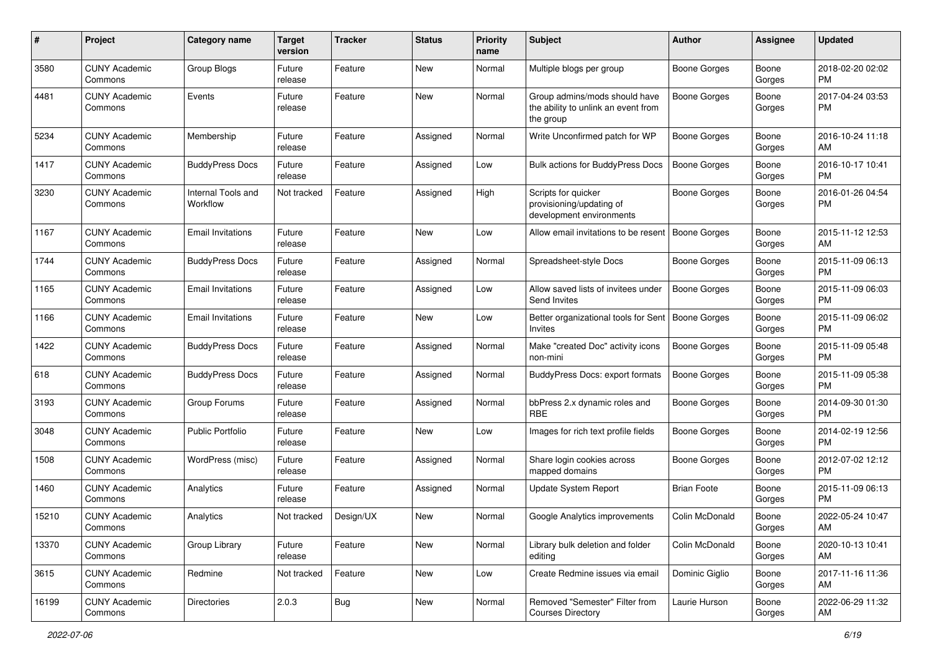| #     | Project                         | <b>Category name</b>           | <b>Target</b><br>version | <b>Tracker</b> | <b>Status</b> | Priority<br>name | <b>Subject</b>                                                                    | Author              | <b>Assignee</b> | <b>Updated</b>                |
|-------|---------------------------------|--------------------------------|--------------------------|----------------|---------------|------------------|-----------------------------------------------------------------------------------|---------------------|-----------------|-------------------------------|
| 3580  | <b>CUNY Academic</b><br>Commons | Group Blogs                    | Future<br>release        | Feature        | New           | Normal           | Multiple blogs per group                                                          | <b>Boone Gorges</b> | Boone<br>Gorges | 2018-02-20 02:02<br><b>PM</b> |
| 4481  | <b>CUNY Academic</b><br>Commons | Events                         | Future<br>release        | Feature        | New           | Normal           | Group admins/mods should have<br>the ability to unlink an event from<br>the group | <b>Boone Gorges</b> | Boone<br>Gorges | 2017-04-24 03:53<br><b>PM</b> |
| 5234  | <b>CUNY Academic</b><br>Commons | Membership                     | Future<br>release        | Feature        | Assigned      | Normal           | Write Unconfirmed patch for WP                                                    | <b>Boone Gorges</b> | Boone<br>Gorges | 2016-10-24 11:18<br>AM        |
| 1417  | <b>CUNY Academic</b><br>Commons | <b>BuddyPress Docs</b>         | Future<br>release        | Feature        | Assigned      | Low              | <b>Bulk actions for BuddyPress Docs</b>                                           | <b>Boone Gorges</b> | Boone<br>Gorges | 2016-10-17 10:41<br><b>PM</b> |
| 3230  | <b>CUNY Academic</b><br>Commons | Internal Tools and<br>Workflow | Not tracked              | Feature        | Assigned      | High             | Scripts for quicker<br>provisioning/updating of<br>development environments       | <b>Boone Gorges</b> | Boone<br>Gorges | 2016-01-26 04:54<br>PM        |
| 1167  | <b>CUNY Academic</b><br>Commons | <b>Email Invitations</b>       | Future<br>release        | Feature        | New           | Low              | Allow email invitations to be resent                                              | Boone Gorges        | Boone<br>Gorges | 2015-11-12 12:53<br>AM        |
| 1744  | <b>CUNY Academic</b><br>Commons | <b>BuddyPress Docs</b>         | Future<br>release        | Feature        | Assigned      | Normal           | Spreadsheet-style Docs                                                            | Boone Gorges        | Boone<br>Gorges | 2015-11-09 06:13<br><b>PM</b> |
| 1165  | <b>CUNY Academic</b><br>Commons | <b>Email Invitations</b>       | Future<br>release        | Feature        | Assigned      | Low              | Allow saved lists of invitees under<br>Send Invites                               | <b>Boone Gorges</b> | Boone<br>Gorges | 2015-11-09 06:03<br><b>PM</b> |
| 1166  | <b>CUNY Academic</b><br>Commons | <b>Email Invitations</b>       | Future<br>release        | Feature        | New           | Low              | Better organizational tools for Sent<br>Invites                                   | Boone Gorges        | Boone<br>Gorges | 2015-11-09 06:02<br><b>PM</b> |
| 1422  | <b>CUNY Academic</b><br>Commons | <b>BuddyPress Docs</b>         | Future<br>release        | Feature        | Assigned      | Normal           | Make "created Doc" activity icons<br>non-mini                                     | <b>Boone Gorges</b> | Boone<br>Gorges | 2015-11-09 05:48<br>PM.       |
| 618   | <b>CUNY Academic</b><br>Commons | <b>BuddyPress Docs</b>         | Future<br>release        | Feature        | Assigned      | Normal           | BuddyPress Docs: export formats                                                   | <b>Boone Gorges</b> | Boone<br>Gorges | 2015-11-09 05:38<br><b>PM</b> |
| 3193  | <b>CUNY Academic</b><br>Commons | Group Forums                   | Future<br>release        | Feature        | Assigned      | Normal           | bbPress 2.x dynamic roles and<br><b>RBE</b>                                       | <b>Boone Gorges</b> | Boone<br>Gorges | 2014-09-30 01:30<br><b>PM</b> |
| 3048  | <b>CUNY Academic</b><br>Commons | <b>Public Portfolio</b>        | Future<br>release        | Feature        | New           | Low              | Images for rich text profile fields                                               | Boone Gorges        | Boone<br>Gorges | 2014-02-19 12:56<br>PM.       |
| 1508  | <b>CUNY Academic</b><br>Commons | WordPress (misc)               | Future<br>release        | Feature        | Assigned      | Normal           | Share login cookies across<br>mapped domains                                      | Boone Gorges        | Boone<br>Gorges | 2012-07-02 12:12<br><b>PM</b> |
| 1460  | <b>CUNY Academic</b><br>Commons | Analytics                      | Future<br>release        | Feature        | Assigned      | Normal           | Update System Report                                                              | <b>Brian Foote</b>  | Boone<br>Gorges | 2015-11-09 06:13<br>PM.       |
| 15210 | <b>CUNY Academic</b><br>Commons | Analytics                      | Not tracked              | Design/UX      | New           | Normal           | Google Analytics improvements                                                     | Colin McDonald      | Boone<br>Gorges | 2022-05-24 10:47<br>AM        |
| 13370 | <b>CUNY Academic</b><br>Commons | Group Library                  | Future<br>release        | Feature        | New           | Normal           | Library bulk deletion and folder<br>editing                                       | Colin McDonald      | Boone<br>Gorges | 2020-10-13 10:41<br>AM        |
| 3615  | <b>CUNY Academic</b><br>Commons | Redmine                        | Not tracked              | Feature        | New           | Low              | Create Redmine issues via email                                                   | Dominic Giglio      | Boone<br>Gorges | 2017-11-16 11:36<br>AM        |
| 16199 | <b>CUNY Academic</b><br>Commons | <b>Directories</b>             | 2.0.3                    | <b>Bug</b>     | New           | Normal           | Removed "Semester" Filter from<br><b>Courses Directory</b>                        | Laurie Hurson       | Boone<br>Gorges | 2022-06-29 11:32<br>AM        |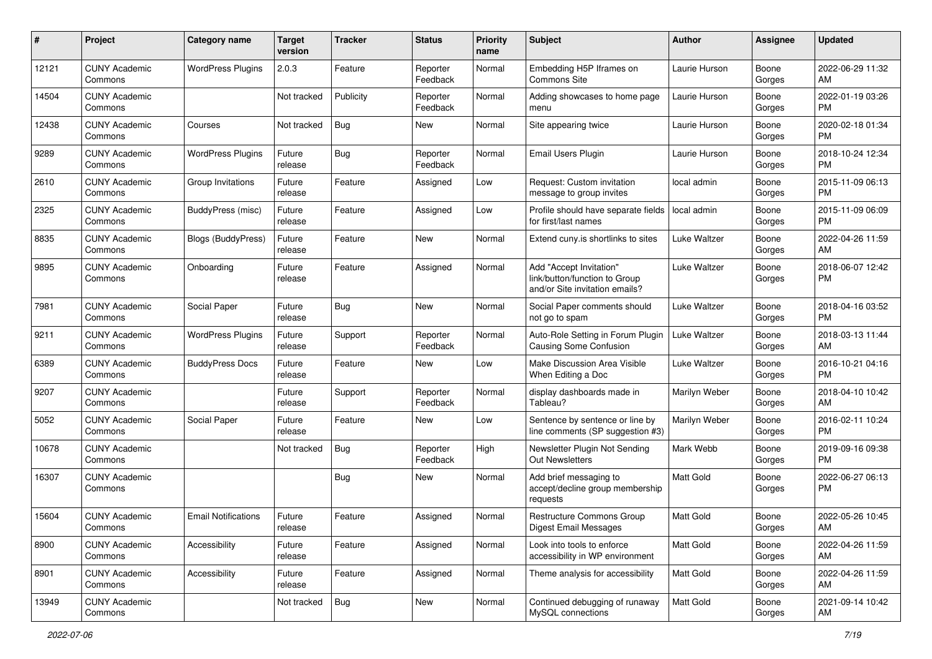| #     | Project                         | <b>Category name</b>       | <b>Target</b><br>version | <b>Tracker</b> | <b>Status</b>        | <b>Priority</b><br>name | <b>Subject</b>                                                                             | <b>Author</b>       | <b>Assignee</b> | <b>Updated</b>                |
|-------|---------------------------------|----------------------------|--------------------------|----------------|----------------------|-------------------------|--------------------------------------------------------------------------------------------|---------------------|-----------------|-------------------------------|
| 12121 | <b>CUNY Academic</b><br>Commons | <b>WordPress Plugins</b>   | 2.0.3                    | Feature        | Reporter<br>Feedback | Normal                  | Embedding H5P Iframes on<br>Commons Site                                                   | Laurie Hurson       | Boone<br>Gorges | 2022-06-29 11:32<br>AM        |
| 14504 | <b>CUNY Academic</b><br>Commons |                            | Not tracked              | Publicity      | Reporter<br>Feedback | Normal                  | Adding showcases to home page<br>menu                                                      | Laurie Hurson       | Boone<br>Gorges | 2022-01-19 03:26<br><b>PM</b> |
| 12438 | <b>CUNY Academic</b><br>Commons | Courses                    | Not tracked              | Bug            | New                  | Normal                  | Site appearing twice                                                                       | Laurie Hurson       | Boone<br>Gorges | 2020-02-18 01:34<br><b>PM</b> |
| 9289  | <b>CUNY Academic</b><br>Commons | <b>WordPress Plugins</b>   | Future<br>release        | Bug            | Reporter<br>Feedback | Normal                  | <b>Email Users Plugin</b>                                                                  | Laurie Hurson       | Boone<br>Gorges | 2018-10-24 12:34<br><b>PM</b> |
| 2610  | <b>CUNY Academic</b><br>Commons | Group Invitations          | Future<br>release        | Feature        | Assigned             | Low                     | Request: Custom invitation<br>message to group invites                                     | local admin         | Boone<br>Gorges | 2015-11-09 06:13<br><b>PM</b> |
| 2325  | <b>CUNY Academic</b><br>Commons | BuddyPress (misc)          | Future<br>release        | Feature        | Assigned             | Low                     | Profile should have separate fields<br>for first/last names                                | local admin         | Boone<br>Gorges | 2015-11-09 06:09<br><b>PM</b> |
| 8835  | <b>CUNY Academic</b><br>Commons | Blogs (BuddyPress)         | Future<br>release        | Feature        | New                  | Normal                  | Extend cuny.is shortlinks to sites                                                         | Luke Waltzer        | Boone<br>Gorges | 2022-04-26 11:59<br>AM        |
| 9895  | <b>CUNY Academic</b><br>Commons | Onboarding                 | Future<br>release        | Feature        | Assigned             | Normal                  | Add "Accept Invitation"<br>link/button/function to Group<br>and/or Site invitation emails? | <b>Luke Waltzer</b> | Boone<br>Gorges | 2018-06-07 12:42<br>PM.       |
| 7981  | <b>CUNY Academic</b><br>Commons | Social Paper               | Future<br>release        | Bug            | <b>New</b>           | Normal                  | Social Paper comments should<br>not go to spam                                             | Luke Waltzer        | Boone<br>Gorges | 2018-04-16 03:52<br>PM        |
| 9211  | <b>CUNY Academic</b><br>Commons | <b>WordPress Plugins</b>   | Future<br>release        | Support        | Reporter<br>Feedback | Normal                  | Auto-Role Setting in Forum Plugin<br><b>Causing Some Confusion</b>                         | Luke Waltzer        | Boone<br>Gorges | 2018-03-13 11:44<br>AM        |
| 6389  | <b>CUNY Academic</b><br>Commons | <b>BuddyPress Docs</b>     | Future<br>release        | Feature        | New                  | Low                     | Make Discussion Area Visible<br>When Editing a Doc                                         | Luke Waltzer        | Boone<br>Gorges | 2016-10-21 04:16<br><b>PM</b> |
| 9207  | <b>CUNY Academic</b><br>Commons |                            | Future<br>release        | Support        | Reporter<br>Feedback | Normal                  | display dashboards made in<br>Tableau?                                                     | Marilyn Weber       | Boone<br>Gorges | 2018-04-10 10:42<br>AM        |
| 5052  | <b>CUNY Academic</b><br>Commons | Social Paper               | Future<br>release        | Feature        | New                  | Low                     | Sentence by sentence or line by<br>line comments (SP suggestion #3)                        | Marilyn Weber       | Boone<br>Gorges | 2016-02-11 10:24<br><b>PM</b> |
| 10678 | <b>CUNY Academic</b><br>Commons |                            | Not tracked              | Bug            | Reporter<br>Feedback | High                    | Newsletter Plugin Not Sending<br>Out Newsletters                                           | Mark Webb           | Boone<br>Gorges | 2019-09-16 09:38<br><b>PM</b> |
| 16307 | <b>CUNY Academic</b><br>Commons |                            |                          | Bug            | New                  | Normal                  | Add brief messaging to<br>accept/decline group membership<br>requests                      | <b>Matt Gold</b>    | Boone<br>Gorges | 2022-06-27 06:13<br><b>PM</b> |
| 15604 | <b>CUNY Academic</b><br>Commons | <b>Email Notifications</b> | Future<br>release        | Feature        | Assigned             | Normal                  | <b>Restructure Commons Group</b><br><b>Digest Email Messages</b>                           | Matt Gold           | Boone<br>Gorges | 2022-05-26 10:45<br>AM        |
| 8900  | <b>CUNY Academic</b><br>Commons | Accessibility              | Future<br>release        | Feature        | Assigned             | Normal                  | Look into tools to enforce<br>accessibility in WP environment                              | Matt Gold           | Boone<br>Gorges | 2022-04-26 11:59<br>AM        |
| 8901  | <b>CUNY Academic</b><br>Commons | Accessibility              | Future<br>release        | Feature        | Assigned             | Normal                  | Theme analysis for accessibility                                                           | Matt Gold           | Boone<br>Gorges | 2022-04-26 11:59<br>AM        |
| 13949 | <b>CUNY Academic</b><br>Commons |                            | Not tracked              | Bug            | New                  | Normal                  | Continued debugging of runaway<br>MySQL connections                                        | Matt Gold           | Boone<br>Gorges | 2021-09-14 10:42<br>AM        |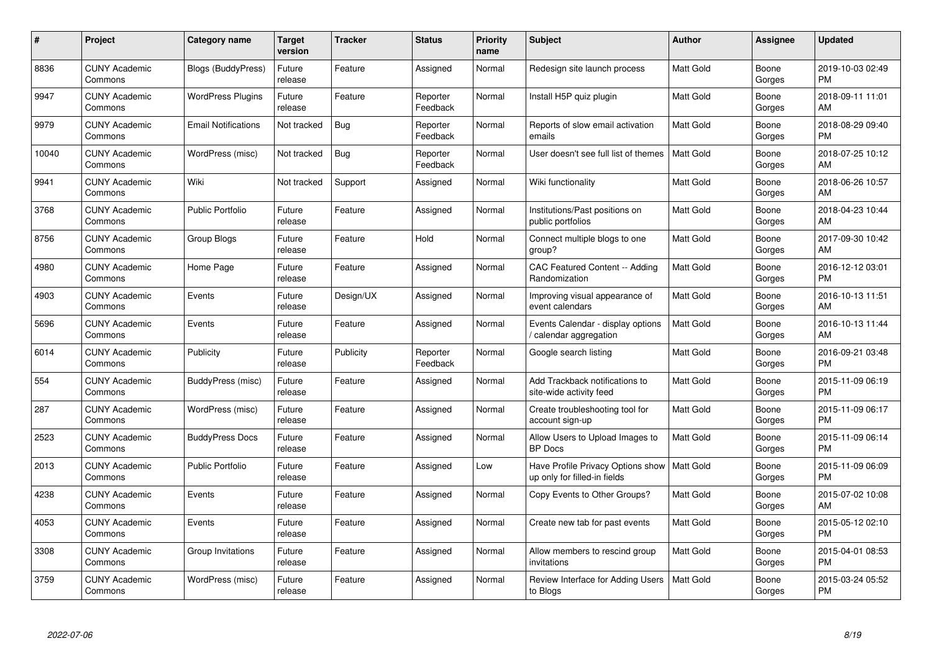| #     | Project                         | <b>Category name</b>       | Target<br>version | <b>Tracker</b> | <b>Status</b>        | <b>Priority</b><br>name | <b>Subject</b>                                                    | <b>Author</b>    | Assignee        | <b>Updated</b>                |
|-------|---------------------------------|----------------------------|-------------------|----------------|----------------------|-------------------------|-------------------------------------------------------------------|------------------|-----------------|-------------------------------|
| 8836  | <b>CUNY Academic</b><br>Commons | <b>Blogs (BuddyPress)</b>  | Future<br>release | Feature        | Assigned             | Normal                  | Redesign site launch process                                      | <b>Matt Gold</b> | Boone<br>Gorges | 2019-10-03 02:49<br><b>PM</b> |
| 9947  | <b>CUNY Academic</b><br>Commons | <b>WordPress Plugins</b>   | Future<br>release | Feature        | Reporter<br>Feedback | Normal                  | Install H5P quiz plugin                                           | Matt Gold        | Boone<br>Gorges | 2018-09-11 11:01<br>AM.       |
| 9979  | <b>CUNY Academic</b><br>Commons | <b>Email Notifications</b> | Not tracked       | <b>Bug</b>     | Reporter<br>Feedback | Normal                  | Reports of slow email activation<br>emails                        | Matt Gold        | Boone<br>Gorges | 2018-08-29 09:40<br><b>PM</b> |
| 10040 | <b>CUNY Academic</b><br>Commons | WordPress (misc)           | Not tracked       | Bug            | Reporter<br>Feedback | Normal                  | User doesn't see full list of themes                              | Matt Gold        | Boone<br>Gorges | 2018-07-25 10:12<br><b>AM</b> |
| 9941  | <b>CUNY Academic</b><br>Commons | Wiki                       | Not tracked       | Support        | Assigned             | Normal                  | Wiki functionality                                                | Matt Gold        | Boone<br>Gorges | 2018-06-26 10:57<br>AM        |
| 3768  | <b>CUNY Academic</b><br>Commons | <b>Public Portfolio</b>    | Future<br>release | Feature        | Assigned             | Normal                  | Institutions/Past positions on<br>public portfolios               | <b>Matt Gold</b> | Boone<br>Gorges | 2018-04-23 10:44<br>AM        |
| 8756  | <b>CUNY Academic</b><br>Commons | Group Blogs                | Future<br>release | Feature        | Hold                 | Normal                  | Connect multiple blogs to one<br>group?                           | <b>Matt Gold</b> | Boone<br>Gorges | 2017-09-30 10:42<br>AM        |
| 4980  | <b>CUNY Academic</b><br>Commons | Home Page                  | Future<br>release | Feature        | Assigned             | Normal                  | CAC Featured Content -- Adding<br>Randomization                   | <b>Matt Gold</b> | Boone<br>Gorges | 2016-12-12 03:01<br><b>PM</b> |
| 4903  | <b>CUNY Academic</b><br>Commons | Events                     | Future<br>release | Design/UX      | Assigned             | Normal                  | Improving visual appearance of<br>event calendars                 | Matt Gold        | Boone<br>Gorges | 2016-10-13 11:51<br>AM        |
| 5696  | <b>CUNY Academic</b><br>Commons | Events                     | Future<br>release | Feature        | Assigned             | Normal                  | Events Calendar - display options<br>calendar aggregation         | <b>Matt Gold</b> | Boone<br>Gorges | 2016-10-13 11:44<br>AM        |
| 6014  | <b>CUNY Academic</b><br>Commons | Publicity                  | Future<br>release | Publicity      | Reporter<br>Feedback | Normal                  | Google search listing                                             | Matt Gold        | Boone<br>Gorges | 2016-09-21 03:48<br><b>PM</b> |
| 554   | <b>CUNY Academic</b><br>Commons | BuddyPress (misc)          | Future<br>release | Feature        | Assigned             | Normal                  | Add Trackback notifications to<br>site-wide activity feed         | Matt Gold        | Boone<br>Gorges | 2015-11-09 06:19<br><b>PM</b> |
| 287   | <b>CUNY Academic</b><br>Commons | WordPress (misc)           | Future<br>release | Feature        | Assigned             | Normal                  | Create troubleshooting tool for<br>account sign-up                | Matt Gold        | Boone<br>Gorges | 2015-11-09 06:17<br><b>PM</b> |
| 2523  | <b>CUNY Academic</b><br>Commons | <b>BuddyPress Docs</b>     | Future<br>release | Feature        | Assigned             | Normal                  | Allow Users to Upload Images to<br><b>BP</b> Docs                 | Matt Gold        | Boone<br>Gorges | 2015-11-09 06:14<br><b>PM</b> |
| 2013  | <b>CUNY Academic</b><br>Commons | <b>Public Portfolio</b>    | Future<br>release | Feature        | Assigned             | Low                     | Have Profile Privacy Options show<br>up only for filled-in fields | Matt Gold        | Boone<br>Gorges | 2015-11-09 06:09<br><b>PM</b> |
| 4238  | <b>CUNY Academic</b><br>Commons | Events                     | Future<br>release | Feature        | Assigned             | Normal                  | Copy Events to Other Groups?                                      | <b>Matt Gold</b> | Boone<br>Gorges | 2015-07-02 10:08<br><b>AM</b> |
| 4053  | <b>CUNY Academic</b><br>Commons | Events                     | Future<br>release | Feature        | Assigned             | Normal                  | Create new tab for past events                                    | Matt Gold        | Boone<br>Gorges | 2015-05-12 02:10<br><b>PM</b> |
| 3308  | <b>CUNY Academic</b><br>Commons | Group Invitations          | Future<br>release | Feature        | Assigned             | Normal                  | Allow members to rescind group<br>invitations                     | Matt Gold        | Boone<br>Gorges | 2015-04-01 08:53<br><b>PM</b> |
| 3759  | <b>CUNY Academic</b><br>Commons | WordPress (misc)           | Future<br>release | Feature        | Assigned             | Normal                  | Review Interface for Adding Users<br>to Blogs                     | <b>Matt Gold</b> | Boone<br>Gorges | 2015-03-24 05:52<br>PM        |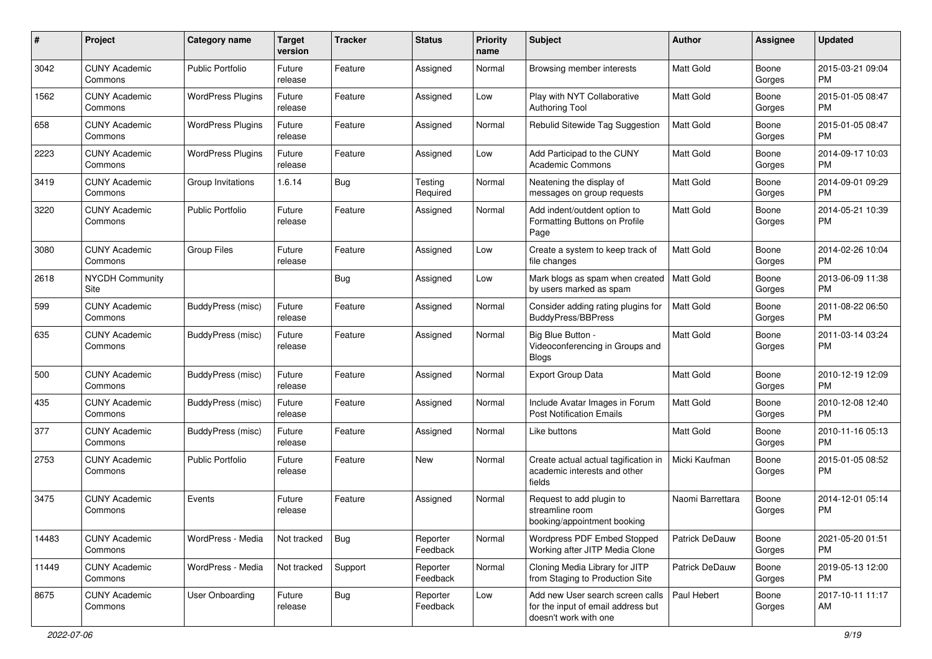| #     | Project                         | <b>Category name</b>     | <b>Target</b><br>version | <b>Tracker</b> | <b>Status</b>        | Priority<br>name | <b>Subject</b>                                                                                  | <b>Author</b>    | <b>Assignee</b> | <b>Updated</b>                |
|-------|---------------------------------|--------------------------|--------------------------|----------------|----------------------|------------------|-------------------------------------------------------------------------------------------------|------------------|-----------------|-------------------------------|
| 3042  | <b>CUNY Academic</b><br>Commons | <b>Public Portfolio</b>  | Future<br>release        | Feature        | Assigned             | Normal           | Browsing member interests                                                                       | <b>Matt Gold</b> | Boone<br>Gorges | 2015-03-21 09:04<br><b>PM</b> |
| 1562  | <b>CUNY Academic</b><br>Commons | <b>WordPress Plugins</b> | Future<br>release        | Feature        | Assigned             | Low              | Play with NYT Collaborative<br>Authoring Tool                                                   | Matt Gold        | Boone<br>Gorges | 2015-01-05 08:47<br><b>PM</b> |
| 658   | <b>CUNY Academic</b><br>Commons | <b>WordPress Plugins</b> | Future<br>release        | Feature        | Assigned             | Normal           | Rebulid Sitewide Tag Suggestion                                                                 | <b>Matt Gold</b> | Boone<br>Gorges | 2015-01-05 08:47<br><b>PM</b> |
| 2223  | <b>CUNY Academic</b><br>Commons | <b>WordPress Plugins</b> | Future<br>release        | Feature        | Assigned             | Low              | Add Participad to the CUNY<br><b>Academic Commons</b>                                           | <b>Matt Gold</b> | Boone<br>Gorges | 2014-09-17 10:03<br>PM.       |
| 3419  | <b>CUNY Academic</b><br>Commons | Group Invitations        | 1.6.14                   | Bug            | Testing<br>Required  | Normal           | Neatening the display of<br>messages on group requests                                          | <b>Matt Gold</b> | Boone<br>Gorges | 2014-09-01 09:29<br><b>PM</b> |
| 3220  | <b>CUNY Academic</b><br>Commons | <b>Public Portfolio</b>  | Future<br>release        | Feature        | Assigned             | Normal           | Add indent/outdent option to<br>Formatting Buttons on Profile<br>Page                           | Matt Gold        | Boone<br>Gorges | 2014-05-21 10:39<br>PM.       |
| 3080  | <b>CUNY Academic</b><br>Commons | <b>Group Files</b>       | Future<br>release        | Feature        | Assigned             | Low              | Create a system to keep track of<br>file changes                                                | Matt Gold        | Boone<br>Gorges | 2014-02-26 10:04<br><b>PM</b> |
| 2618  | <b>NYCDH Community</b><br>Site  |                          |                          | Bug            | Assigned             | Low              | Mark blogs as spam when created<br>by users marked as spam                                      | <b>Matt Gold</b> | Boone<br>Gorges | 2013-06-09 11:38<br><b>PM</b> |
| 599   | <b>CUNY Academic</b><br>Commons | BuddyPress (misc)        | Future<br>release        | Feature        | Assigned             | Normal           | Consider adding rating plugins for<br>BuddyPress/BBPress                                        | <b>Matt Gold</b> | Boone<br>Gorges | 2011-08-22 06:50<br>PM.       |
| 635   | <b>CUNY Academic</b><br>Commons | BuddyPress (misc)        | Future<br>release        | Feature        | Assigned             | Normal           | Big Blue Button -<br>Videoconferencing in Groups and<br><b>Blogs</b>                            | Matt Gold        | Boone<br>Gorges | 2011-03-14 03:24<br><b>PM</b> |
| 500   | <b>CUNY Academic</b><br>Commons | BuddyPress (misc)        | Future<br>release        | Feature        | Assigned             | Normal           | <b>Export Group Data</b>                                                                        | <b>Matt Gold</b> | Boone<br>Gorges | 2010-12-19 12:09<br><b>PM</b> |
| 435   | <b>CUNY Academic</b><br>Commons | BuddyPress (misc)        | Future<br>release        | Feature        | Assigned             | Normal           | Include Avatar Images in Forum<br><b>Post Notification Emails</b>                               | <b>Matt Gold</b> | Boone<br>Gorges | 2010-12-08 12:40<br><b>PM</b> |
| 377   | <b>CUNY Academic</b><br>Commons | BuddyPress (misc)        | Future<br>release        | Feature        | Assigned             | Normal           | Like buttons                                                                                    | Matt Gold        | Boone<br>Gorges | 2010-11-16 05:13<br>PM.       |
| 2753  | <b>CUNY Academic</b><br>Commons | Public Portfolio         | Future<br>release        | Feature        | <b>New</b>           | Normal           | Create actual actual tagification in<br>academic interests and other<br>fields                  | Micki Kaufman    | Boone<br>Gorges | 2015-01-05 08:52<br><b>PM</b> |
| 3475  | <b>CUNY Academic</b><br>Commons | Events                   | Future<br>release        | Feature        | Assigned             | Normal           | Request to add plugin to<br>streamline room<br>booking/appointment booking                      | Naomi Barrettara | Boone<br>Gorges | 2014-12-01 05:14<br>PM.       |
| 14483 | <b>CUNY Academic</b><br>Commons | WordPress - Media        | Not tracked              | <b>Bug</b>     | Reporter<br>Feedback | Normal           | Wordpress PDF Embed Stopped<br>Working after JITP Media Clone                                   | Patrick DeDauw   | Boone<br>Gorges | 2021-05-20 01:51<br>PM.       |
| 11449 | <b>CUNY Academic</b><br>Commons | WordPress - Media        | Not tracked              | Support        | Reporter<br>Feedback | Normal           | Cloning Media Library for JITP<br>from Staging to Production Site                               | Patrick DeDauw   | Boone<br>Gorges | 2019-05-13 12:00<br><b>PM</b> |
| 8675  | <b>CUNY Academic</b><br>Commons | User Onboarding          | Future<br>release        | Bug            | Reporter<br>Feedback | Low              | Add new User search screen calls<br>for the input of email address but<br>doesn't work with one | Paul Hebert      | Boone<br>Gorges | 2017-10-11 11:17<br>AM        |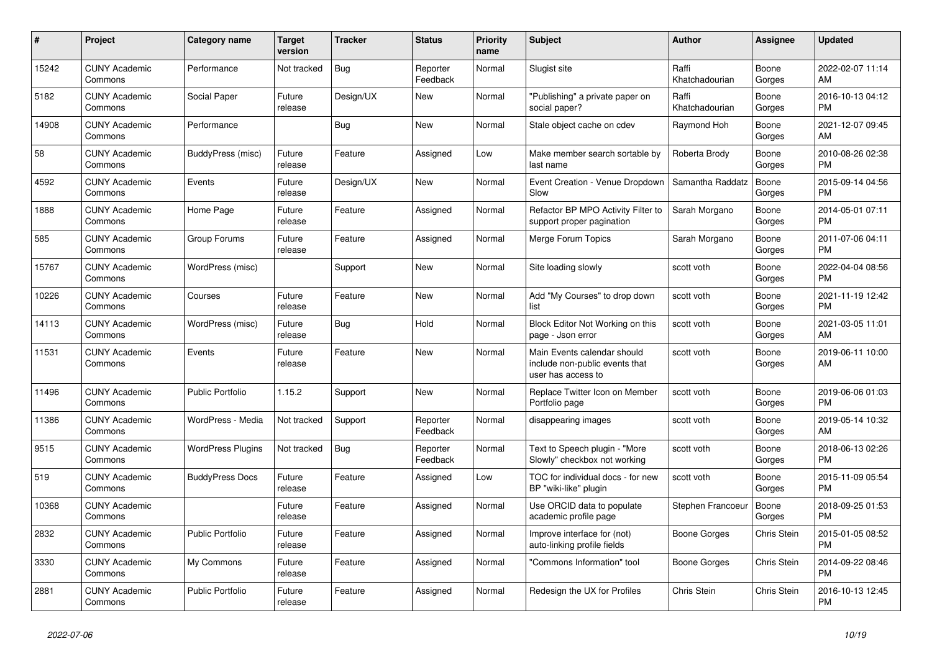| $\#$  | Project                         | <b>Category name</b>     | <b>Target</b><br>version | <b>Tracker</b> | <b>Status</b>        | <b>Priority</b><br>name | <b>Subject</b>                                                                      | <b>Author</b>           | <b>Assignee</b>    | <b>Updated</b>                |
|-------|---------------------------------|--------------------------|--------------------------|----------------|----------------------|-------------------------|-------------------------------------------------------------------------------------|-------------------------|--------------------|-------------------------------|
| 15242 | <b>CUNY Academic</b><br>Commons | Performance              | Not tracked              | <b>Bug</b>     | Reporter<br>Feedback | Normal                  | Slugist site                                                                        | Raffi<br>Khatchadourian | Boone<br>Gorges    | 2022-02-07 11:14<br>AM        |
| 5182  | <b>CUNY Academic</b><br>Commons | Social Paper             | Future<br>release        | Design/UX      | New                  | Normal                  | "Publishing" a private paper on<br>social paper?                                    | Raffi<br>Khatchadourian | Boone<br>Gorges    | 2016-10-13 04:12<br><b>PM</b> |
| 14908 | <b>CUNY Academic</b><br>Commons | Performance              |                          | <b>Bug</b>     | <b>New</b>           | Normal                  | Stale object cache on cdev                                                          | Raymond Hoh             | Boone<br>Gorges    | 2021-12-07 09:45<br>AM        |
| 58    | <b>CUNY Academic</b><br>Commons | BuddyPress (misc)        | Future<br>release        | Feature        | Assigned             | Low                     | Make member search sortable by<br>last name                                         | Roberta Brody           | Boone<br>Gorges    | 2010-08-26 02:38<br><b>PM</b> |
| 4592  | <b>CUNY Academic</b><br>Commons | Events                   | Future<br>release        | Design/UX      | <b>New</b>           | Normal                  | Event Creation - Venue Dropdown<br>Slow                                             | Samantha Raddatz        | Boone<br>Gorges    | 2015-09-14 04:56<br><b>PM</b> |
| 1888  | <b>CUNY Academic</b><br>Commons | Home Page                | Future<br>release        | Feature        | Assigned             | Normal                  | Refactor BP MPO Activity Filter to<br>support proper pagination                     | Sarah Morgano           | Boone<br>Gorges    | 2014-05-01 07:11<br><b>PM</b> |
| 585   | <b>CUNY Academic</b><br>Commons | Group Forums             | Future<br>release        | Feature        | Assigned             | Normal                  | Merge Forum Topics                                                                  | Sarah Morgano           | Boone<br>Gorges    | 2011-07-06 04:11<br><b>PM</b> |
| 15767 | <b>CUNY Academic</b><br>Commons | WordPress (misc)         |                          | Support        | <b>New</b>           | Normal                  | Site loading slowly                                                                 | scott voth              | Boone<br>Gorges    | 2022-04-04 08:56<br><b>PM</b> |
| 10226 | <b>CUNY Academic</b><br>Commons | Courses                  | Future<br>release        | Feature        | New                  | Normal                  | Add "My Courses" to drop down<br>list                                               | scott voth              | Boone<br>Gorges    | 2021-11-19 12:42<br><b>PM</b> |
| 14113 | <b>CUNY Academic</b><br>Commons | WordPress (misc)         | Future<br>release        | <b>Bug</b>     | Hold                 | Normal                  | Block Editor Not Working on this<br>page - Json error                               | scott voth              | Boone<br>Gorges    | 2021-03-05 11:01<br>AM        |
| 11531 | <b>CUNY Academic</b><br>Commons | Events                   | Future<br>release        | Feature        | <b>New</b>           | Normal                  | Main Events calendar should<br>include non-public events that<br>user has access to | scott voth              | Boone<br>Gorges    | 2019-06-11 10:00<br>AM        |
| 11496 | <b>CUNY Academic</b><br>Commons | <b>Public Portfolio</b>  | 1.15.2                   | Support        | <b>New</b>           | Normal                  | Replace Twitter Icon on Member<br>Portfolio page                                    | scott voth              | Boone<br>Gorges    | 2019-06-06 01:03<br><b>PM</b> |
| 11386 | <b>CUNY Academic</b><br>Commons | WordPress - Media        | Not tracked              | Support        | Reporter<br>Feedback | Normal                  | disappearing images                                                                 | scott voth              | Boone<br>Gorges    | 2019-05-14 10:32<br>AM        |
| 9515  | <b>CUNY Academic</b><br>Commons | <b>WordPress Plugins</b> | Not tracked              | <b>Bug</b>     | Reporter<br>Feedback | Normal                  | Text to Speech plugin - "More<br>Slowly" checkbox not working                       | scott voth              | Boone<br>Gorges    | 2018-06-13 02:26<br><b>PM</b> |
| 519   | <b>CUNY Academic</b><br>Commons | <b>BuddyPress Docs</b>   | Future<br>release        | Feature        | Assigned             | Low                     | TOC for individual docs - for new<br>BP "wiki-like" plugin                          | scott voth              | Boone<br>Gorges    | 2015-11-09 05:54<br>PM        |
| 10368 | <b>CUNY Academic</b><br>Commons |                          | Future<br>release        | Feature        | Assigned             | Normal                  | Use ORCID data to populate<br>academic profile page                                 | Stephen Francoeu        | Boone<br>Gorges    | 2018-09-25 01:53<br><b>PM</b> |
| 2832  | <b>CUNY Academic</b><br>Commons | <b>Public Portfolio</b>  | Future<br>release        | Feature        | Assigned             | Normal                  | Improve interface for (not)<br>auto-linking profile fields                          | Boone Gorges            | <b>Chris Stein</b> | 2015-01-05 08:52<br><b>PM</b> |
| 3330  | <b>CUNY Academic</b><br>Commons | My Commons               | Future<br>release        | Feature        | Assigned             | Normal                  | 'Commons Information" tool                                                          | Boone Gorges            | Chris Stein        | 2014-09-22 08:46<br><b>PM</b> |
| 2881  | <b>CUNY Academic</b><br>Commons | Public Portfolio         | Future<br>release        | Feature        | Assigned             | Normal                  | Redesign the UX for Profiles                                                        | Chris Stein             | Chris Stein        | 2016-10-13 12:45<br><b>PM</b> |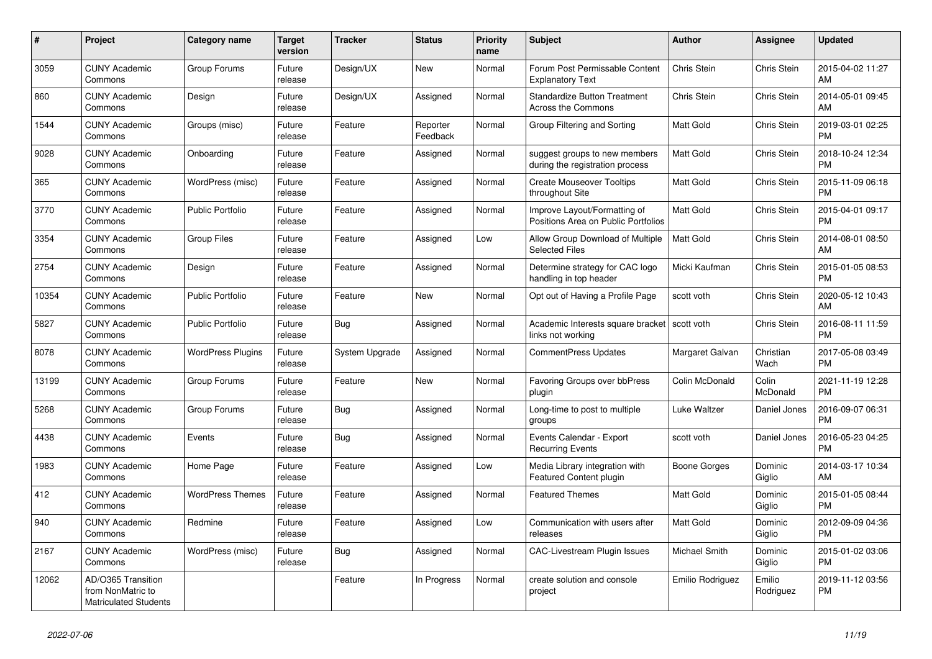| #     | Project                                                                 | Category name            | <b>Target</b><br>version | <b>Tracker</b> | <b>Status</b>        | Priority<br>name | <b>Subject</b>                                                      | <b>Author</b>    | Assignee            | <b>Updated</b>                |
|-------|-------------------------------------------------------------------------|--------------------------|--------------------------|----------------|----------------------|------------------|---------------------------------------------------------------------|------------------|---------------------|-------------------------------|
| 3059  | <b>CUNY Academic</b><br>Commons                                         | Group Forums             | Future<br>release        | Design/UX      | New                  | Normal           | Forum Post Permissable Content<br><b>Explanatory Text</b>           | Chris Stein      | Chris Stein         | 2015-04-02 11:27<br>AM        |
| 860   | <b>CUNY Academic</b><br>Commons                                         | Design                   | Future<br>release        | Design/UX      | Assigned             | Normal           | <b>Standardize Button Treatment</b><br>Across the Commons           | Chris Stein      | Chris Stein         | 2014-05-01 09:45<br>AM        |
| 1544  | <b>CUNY Academic</b><br>Commons                                         | Groups (misc)            | Future<br>release        | Feature        | Reporter<br>Feedback | Normal           | Group Filtering and Sorting                                         | <b>Matt Gold</b> | Chris Stein         | 2019-03-01 02:25<br><b>PM</b> |
| 9028  | <b>CUNY Academic</b><br>Commons                                         | Onboarding               | Future<br>release        | Feature        | Assigned             | Normal           | suggest groups to new members<br>during the registration process    | <b>Matt Gold</b> | Chris Stein         | 2018-10-24 12:34<br><b>PM</b> |
| 365   | <b>CUNY Academic</b><br>Commons                                         | WordPress (misc)         | Future<br>release        | Feature        | Assigned             | Normal           | <b>Create Mouseover Tooltips</b><br>throughout Site                 | Matt Gold        | Chris Stein         | 2015-11-09 06:18<br><b>PM</b> |
| 3770  | <b>CUNY Academic</b><br>Commons                                         | <b>Public Portfolio</b>  | Future<br>release        | Feature        | Assigned             | Normal           | Improve Layout/Formatting of<br>Positions Area on Public Portfolios | Matt Gold        | Chris Stein         | 2015-04-01 09:17<br><b>PM</b> |
| 3354  | <b>CUNY Academic</b><br>Commons                                         | <b>Group Files</b>       | Future<br>release        | Feature        | Assigned             | Low              | Allow Group Download of Multiple<br><b>Selected Files</b>           | <b>Matt Gold</b> | Chris Stein         | 2014-08-01 08:50<br>AM        |
| 2754  | <b>CUNY Academic</b><br>Commons                                         | Design                   | Future<br>release        | Feature        | Assigned             | Normal           | Determine strategy for CAC logo<br>handling in top header           | Micki Kaufman    | Chris Stein         | 2015-01-05 08:53<br><b>PM</b> |
| 10354 | <b>CUNY Academic</b><br>Commons                                         | <b>Public Portfolio</b>  | Future<br>release        | Feature        | New                  | Normal           | Opt out of Having a Profile Page                                    | scott voth       | Chris Stein         | 2020-05-12 10:43<br>AM        |
| 5827  | <b>CUNY Academic</b><br>Commons                                         | <b>Public Portfolio</b>  | Future<br>release        | <b>Bug</b>     | Assigned             | Normal           | Academic Interests square bracket<br>links not working              | l scott voth     | Chris Stein         | 2016-08-11 11:59<br><b>PM</b> |
| 8078  | <b>CUNY Academic</b><br>Commons                                         | <b>WordPress Plugins</b> | Future<br>release        | System Upgrade | Assigned             | Normal           | <b>CommentPress Updates</b>                                         | Margaret Galvan  | Christian<br>Wach   | 2017-05-08 03:49<br><b>PM</b> |
| 13199 | <b>CUNY Academic</b><br>Commons                                         | Group Forums             | Future<br>release        | Feature        | New                  | Normal           | Favoring Groups over bbPress<br>plugin                              | Colin McDonald   | Colin<br>McDonald   | 2021-11-19 12:28<br><b>PM</b> |
| 5268  | <b>CUNY Academic</b><br>Commons                                         | Group Forums             | Future<br>release        | <b>Bug</b>     | Assigned             | Normal           | Long-time to post to multiple<br>groups                             | Luke Waltzer     | Daniel Jones        | 2016-09-07 06:31<br><b>PM</b> |
| 4438  | <b>CUNY Academic</b><br>Commons                                         | Events                   | Future<br>release        | Bug            | Assigned             | Normal           | Events Calendar - Export<br><b>Recurring Events</b>                 | scott voth       | Daniel Jones        | 2016-05-23 04:25<br><b>PM</b> |
| 1983  | <b>CUNY Academic</b><br>Commons                                         | Home Page                | Future<br>release        | Feature        | Assigned             | Low              | Media Library integration with<br><b>Featured Content plugin</b>    | Boone Gorges     | Dominic<br>Giglio   | 2014-03-17 10:34<br>AM        |
| 412   | <b>CUNY Academic</b><br>Commons                                         | <b>WordPress Themes</b>  | Future<br>release        | Feature        | Assigned             | Normal           | <b>Featured Themes</b>                                              | <b>Matt Gold</b> | Dominic<br>Giglio   | 2015-01-05 08:44<br><b>PM</b> |
| 940   | <b>CUNY Academic</b><br>Commons                                         | Redmine                  | Future<br>release        | Feature        | Assigned             | Low              | Communication with users after<br>releases                          | Matt Gold        | Dominic<br>Giglio   | 2012-09-09 04:36<br><b>PM</b> |
| 2167  | <b>CUNY Academic</b><br>Commons                                         | WordPress (misc)         | Future<br>release        | <b>Bug</b>     | Assigned             | Normal           | <b>CAC-Livestream Plugin Issues</b>                                 | Michael Smith    | Dominic<br>Giglio   | 2015-01-02 03:06<br><b>PM</b> |
| 12062 | AD/O365 Transition<br>from NonMatric to<br><b>Matriculated Students</b> |                          |                          | Feature        | In Progress          | Normal           | create solution and console<br>project                              | Emilio Rodriguez | Emilio<br>Rodriguez | 2019-11-12 03:56<br><b>PM</b> |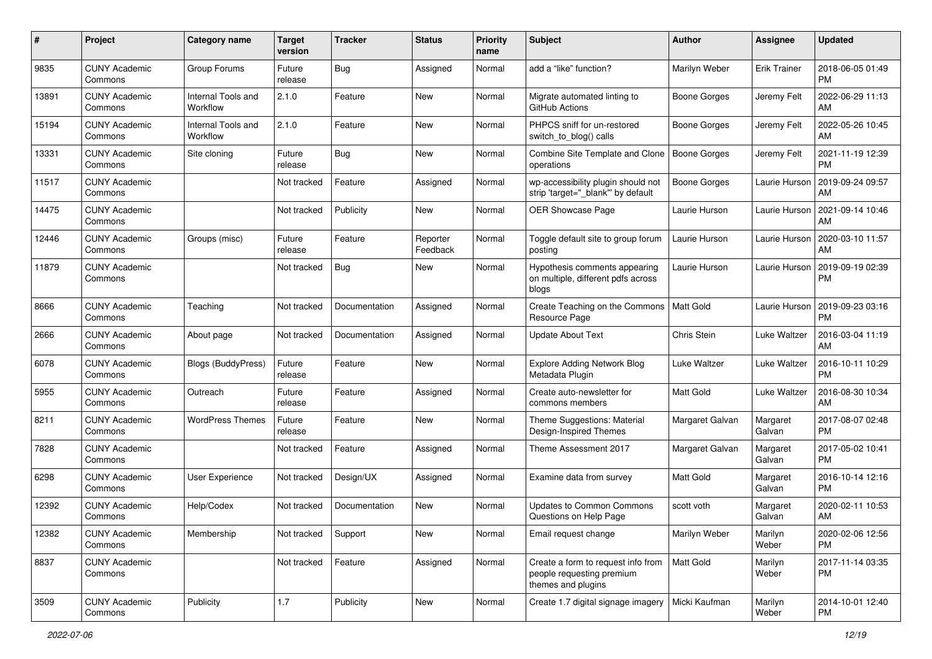| #     | Project                         | <b>Category name</b>           | <b>Target</b><br>version | <b>Tracker</b> | <b>Status</b>        | Priority<br>name | <b>Subject</b>                                                                        | Author              | <b>Assignee</b>     | <b>Updated</b>                |
|-------|---------------------------------|--------------------------------|--------------------------|----------------|----------------------|------------------|---------------------------------------------------------------------------------------|---------------------|---------------------|-------------------------------|
| 9835  | <b>CUNY Academic</b><br>Commons | Group Forums                   | Future<br>release        | <b>Bug</b>     | Assigned             | Normal           | add a "like" function?                                                                | Marilyn Weber       | <b>Erik Trainer</b> | 2018-06-05 01:49<br>PM.       |
| 13891 | <b>CUNY Academic</b><br>Commons | Internal Tools and<br>Workflow | 2.1.0                    | Feature        | New                  | Normal           | Migrate automated linting to<br>GitHub Actions                                        | <b>Boone Gorges</b> | Jeremy Felt         | 2022-06-29 11:13<br><b>AM</b> |
| 15194 | <b>CUNY Academic</b><br>Commons | Internal Tools and<br>Workflow | 2.1.0                    | Feature        | New                  | Normal           | PHPCS sniff for un-restored<br>switch_to_blog() calls                                 | Boone Gorges        | Jeremy Felt         | 2022-05-26 10:45<br>AM.       |
| 13331 | <b>CUNY Academic</b><br>Commons | Site cloning                   | Future<br>release        | Bug            | New                  | Normal           | Combine Site Template and Clone<br>operations                                         | Boone Gorges        | Jeremy Felt         | 2021-11-19 12:39<br><b>PM</b> |
| 11517 | <b>CUNY Academic</b><br>Commons |                                | Not tracked              | Feature        | Assigned             | Normal           | wp-accessibility plugin should not<br>strip 'target="_blank" by default               | Boone Gorges        | Laurie Hurson       | 2019-09-24 09:57<br>AM        |
| 14475 | <b>CUNY Academic</b><br>Commons |                                | Not tracked              | Publicity      | <b>New</b>           | Normal           | <b>OER Showcase Page</b>                                                              | Laurie Hurson       | Laurie Hurson       | 2021-09-14 10:46<br>AM        |
| 12446 | <b>CUNY Academic</b><br>Commons | Groups (misc)                  | Future<br>release        | Feature        | Reporter<br>Feedback | Normal           | Toggle default site to group forum<br>posting                                         | Laurie Hurson       | Laurie Hurson       | 2020-03-10 11:57<br>AM        |
| 11879 | <b>CUNY Academic</b><br>Commons |                                | Not tracked              | <b>Bug</b>     | New                  | Normal           | Hypothesis comments appearing<br>on multiple, different pdfs across<br>blogs          | Laurie Hurson       | Laurie Hurson       | 2019-09-19 02:39<br><b>PM</b> |
| 8666  | <b>CUNY Academic</b><br>Commons | Teaching                       | Not tracked              | Documentation  | Assigned             | Normal           | Create Teaching on the Commons<br>Resource Page                                       | <b>Matt Gold</b>    | Laurie Hurson       | 2019-09-23 03:16<br><b>PM</b> |
| 2666  | <b>CUNY Academic</b><br>Commons | About page                     | Not tracked              | Documentation  | Assigned             | Normal           | <b>Update About Text</b>                                                              | Chris Stein         | Luke Waltzer        | 2016-03-04 11:19<br>AM        |
| 6078  | <b>CUNY Academic</b><br>Commons | <b>Blogs (BuddyPress)</b>      | Future<br>release        | Feature        | New                  | Normal           | <b>Explore Adding Network Blog</b><br>Metadata Plugin                                 | Luke Waltzer        | Luke Waltzer        | 2016-10-11 10:29<br><b>PM</b> |
| 5955  | <b>CUNY Academic</b><br>Commons | Outreach                       | Future<br>release        | Feature        | Assigned             | Normal           | Create auto-newsletter for<br>commons members                                         | Matt Gold           | <b>Luke Waltzer</b> | 2016-08-30 10:34<br>AM        |
| 8211  | <b>CUNY Academic</b><br>Commons | <b>WordPress Themes</b>        | Future<br>release        | Feature        | New                  | Normal           | Theme Suggestions: Material<br>Design-Inspired Themes                                 | Margaret Galvan     | Margaret<br>Galvan  | 2017-08-07 02:48<br><b>PM</b> |
| 7828  | <b>CUNY Academic</b><br>Commons |                                | Not tracked              | Feature        | Assigned             | Normal           | Theme Assessment 2017                                                                 | Margaret Galvan     | Margaret<br>Galvan  | 2017-05-02 10:41<br><b>PM</b> |
| 6298  | <b>CUNY Academic</b><br>Commons | User Experience                | Not tracked              | Design/UX      | Assigned             | Normal           | Examine data from survey                                                              | <b>Matt Gold</b>    | Margaret<br>Galvan  | 2016-10-14 12:16<br><b>PM</b> |
| 12392 | <b>CUNY Academic</b><br>Commons | Help/Codex                     | Not tracked              | Documentation  | New                  | Normal           | Updates to Common Commons<br>Questions on Help Page                                   | scott voth          | Margaret<br>Galvan  | 2020-02-11 10:53<br>AM        |
| 12382 | <b>CUNY Academic</b><br>Commons | Membership                     | Not tracked              | Support        | New                  | Normal           | Email request change                                                                  | Marilyn Weber       | Marilyn<br>Weber    | 2020-02-06 12:56<br><b>PM</b> |
| 8837  | <b>CUNY Academic</b><br>Commons |                                | Not tracked              | Feature        | Assigned             | Normal           | Create a form to request info from<br>people requesting premium<br>themes and plugins | Matt Gold           | Marilyn<br>Weber    | 2017-11-14 03:35<br><b>PM</b> |
| 3509  | <b>CUNY Academic</b><br>Commons | Publicity                      | 1.7                      | Publicity      | New                  | Normal           | Create 1.7 digital signage imagery                                                    | Micki Kaufman       | Marilyn<br>Weber    | 2014-10-01 12:40<br><b>PM</b> |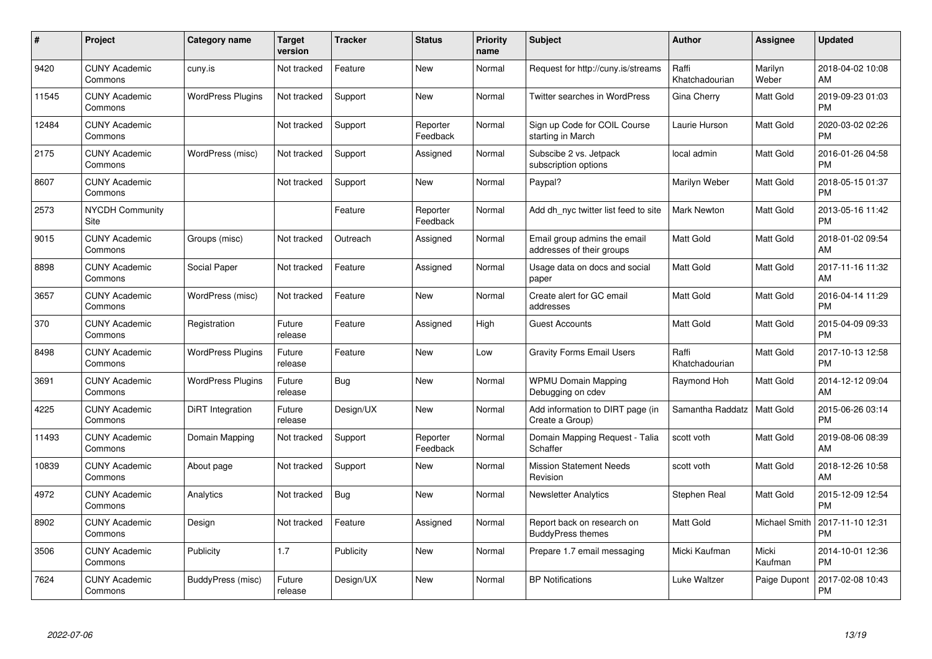| #     | Project                         | <b>Category name</b>     | <b>Target</b><br>version | <b>Tracker</b> | <b>Status</b>        | Priority<br>name | <b>Subject</b>                                            | <b>Author</b>           | <b>Assignee</b>  | <b>Updated</b>                |
|-------|---------------------------------|--------------------------|--------------------------|----------------|----------------------|------------------|-----------------------------------------------------------|-------------------------|------------------|-------------------------------|
| 9420  | <b>CUNY Academic</b><br>Commons | cuny.is                  | Not tracked              | Feature        | <b>New</b>           | Normal           | Request for http://cuny.is/streams                        | Raffi<br>Khatchadourian | Marilyn<br>Weber | 2018-04-02 10:08<br>AM        |
| 11545 | <b>CUNY Academic</b><br>Commons | <b>WordPress Plugins</b> | Not tracked              | Support        | <b>New</b>           | Normal           | <b>Twitter searches in WordPress</b>                      | Gina Cherry             | Matt Gold        | 2019-09-23 01:03<br><b>PM</b> |
| 12484 | <b>CUNY Academic</b><br>Commons |                          | Not tracked              | Support        | Reporter<br>Feedback | Normal           | Sign up Code for COIL Course<br>starting in March         | Laurie Hurson           | Matt Gold        | 2020-03-02 02:26<br><b>PM</b> |
| 2175  | <b>CUNY Academic</b><br>Commons | WordPress (misc)         | Not tracked              | Support        | Assigned             | Normal           | Subscibe 2 vs. Jetpack<br>subscription options            | local admin             | Matt Gold        | 2016-01-26 04:58<br><b>PM</b> |
| 8607  | <b>CUNY Academic</b><br>Commons |                          | Not tracked              | Support        | New                  | Normal           | Paypal?                                                   | Marilyn Weber           | Matt Gold        | 2018-05-15 01:37<br><b>PM</b> |
| 2573  | <b>NYCDH Community</b><br>Site  |                          |                          | Feature        | Reporter<br>Feedback | Normal           | Add dh nyc twitter list feed to site                      | <b>Mark Newton</b>      | Matt Gold        | 2013-05-16 11:42<br><b>PM</b> |
| 9015  | <b>CUNY Academic</b><br>Commons | Groups (misc)            | Not tracked              | Outreach       | Assigned             | Normal           | Email group admins the email<br>addresses of their groups | <b>Matt Gold</b>        | Matt Gold        | 2018-01-02 09:54<br>AM        |
| 8898  | <b>CUNY Academic</b><br>Commons | Social Paper             | Not tracked              | Feature        | Assigned             | Normal           | Usage data on docs and social<br>paper                    | <b>Matt Gold</b>        | Matt Gold        | 2017-11-16 11:32<br>AM        |
| 3657  | <b>CUNY Academic</b><br>Commons | WordPress (misc)         | Not tracked              | Feature        | <b>New</b>           | Normal           | Create alert for GC email<br>addresses                    | <b>Matt Gold</b>        | Matt Gold        | 2016-04-14 11:29<br><b>PM</b> |
| 370   | <b>CUNY Academic</b><br>Commons | Registration             | Future<br>release        | Feature        | Assigned             | High             | <b>Guest Accounts</b>                                     | <b>Matt Gold</b>        | Matt Gold        | 2015-04-09 09:33<br><b>PM</b> |
| 8498  | <b>CUNY Academic</b><br>Commons | <b>WordPress Plugins</b> | Future<br>release        | Feature        | New                  | Low              | <b>Gravity Forms Email Users</b>                          | Raffi<br>Khatchadourian | Matt Gold        | 2017-10-13 12:58<br><b>PM</b> |
| 3691  | <b>CUNY Academic</b><br>Commons | <b>WordPress Plugins</b> | Future<br>release        | <b>Bug</b>     | <b>New</b>           | Normal           | <b>WPMU Domain Mapping</b><br>Debugging on cdev           | Raymond Hoh             | Matt Gold        | 2014-12-12 09:04<br>AM        |
| 4225  | <b>CUNY Academic</b><br>Commons | DiRT Integration         | Future<br>release        | Design/UX      | <b>New</b>           | Normal           | Add information to DIRT page (in<br>Create a Group)       | Samantha Raddatz        | Matt Gold        | 2015-06-26 03:14<br><b>PM</b> |
| 11493 | <b>CUNY Academic</b><br>Commons | Domain Mapping           | Not tracked              | Support        | Reporter<br>Feedback | Normal           | Domain Mapping Request - Talia<br>Schaffer                | scott voth              | Matt Gold        | 2019-08-06 08:39<br>AM        |
| 10839 | <b>CUNY Academic</b><br>Commons | About page               | Not tracked              | Support        | New                  | Normal           | <b>Mission Statement Needs</b><br>Revision                | scott voth              | Matt Gold        | 2018-12-26 10:58<br>AM        |
| 4972  | <b>CUNY Academic</b><br>Commons | Analytics                | Not tracked              | Bug            | New                  | Normal           | <b>Newsletter Analytics</b>                               | Stephen Real            | Matt Gold        | 2015-12-09 12:54<br><b>PM</b> |
| 8902  | <b>CUNY Academic</b><br>Commons | Design                   | Not tracked              | Feature        | Assigned             | Normal           | Report back on research on<br><b>BuddyPress themes</b>    | <b>Matt Gold</b>        | Michael Smith    | 2017-11-10 12:31<br><b>PM</b> |
| 3506  | <b>CUNY Academic</b><br>Commons | Publicity                | 1.7                      | Publicity      | New                  | Normal           | Prepare 1.7 email messaging                               | Micki Kaufman           | Micki<br>Kaufman | 2014-10-01 12:36<br><b>PM</b> |
| 7624  | <b>CUNY Academic</b><br>Commons | BuddyPress (misc)        | Future<br>release        | Design/UX      | <b>New</b>           | Normal           | <b>BP Notifications</b>                                   | Luke Waltzer            | Paige Dupont     | 2017-02-08 10:43<br><b>PM</b> |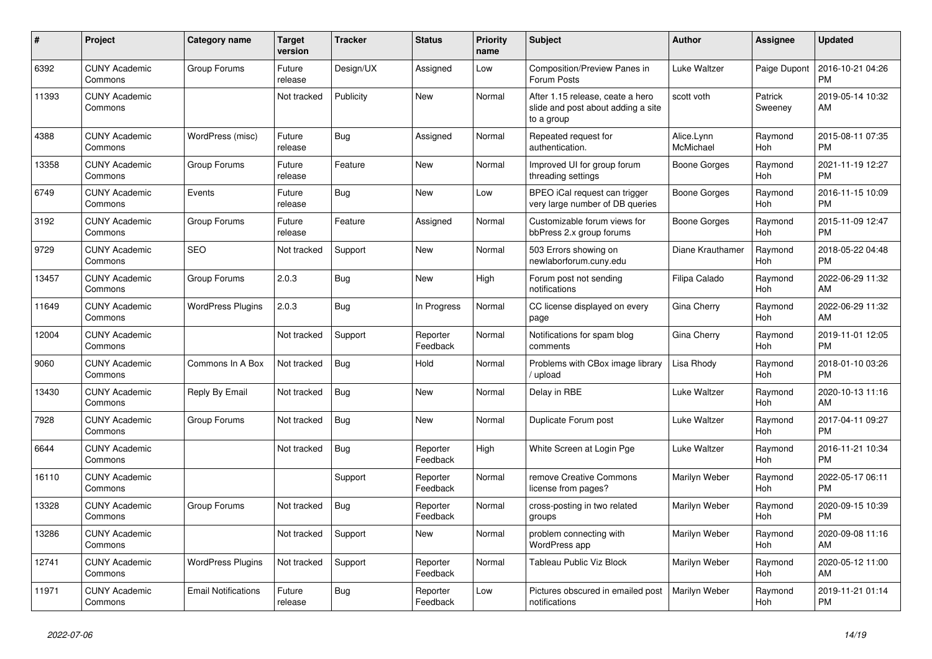| $\vert$ # | <b>Project</b>                  | Category name              | <b>Target</b><br>version | <b>Tracker</b> | <b>Status</b>        | <b>Priority</b><br>name | <b>Subject</b>                                                                       | <b>Author</b>           | Assignee           | <b>Updated</b>                |
|-----------|---------------------------------|----------------------------|--------------------------|----------------|----------------------|-------------------------|--------------------------------------------------------------------------------------|-------------------------|--------------------|-------------------------------|
| 6392      | <b>CUNY Academic</b><br>Commons | Group Forums               | Future<br>release        | Design/UX      | Assigned             | Low                     | <b>Composition/Preview Panes in</b><br>Forum Posts                                   | Luke Waltzer            | Paige Dupont       | 2016-10-21 04:26<br><b>PM</b> |
| 11393     | <b>CUNY Academic</b><br>Commons |                            | Not tracked              | Publicity      | New                  | Normal                  | After 1.15 release, ceate a hero<br>slide and post about adding a site<br>to a group | scott voth              | Patrick<br>Sweeney | 2019-05-14 10:32<br>AM        |
| 4388      | <b>CUNY Academic</b><br>Commons | WordPress (misc)           | Future<br>release        | Bug            | Assigned             | Normal                  | Repeated request for<br>authentication.                                              | Alice.Lynn<br>McMichael | Raymond<br>Hoh     | 2015-08-11 07:35<br><b>PM</b> |
| 13358     | <b>CUNY Academic</b><br>Commons | Group Forums               | Future<br>release        | Feature        | New                  | Normal                  | Improved UI for group forum<br>threading settings                                    | Boone Gorges            | Raymond<br>Hoh     | 2021-11-19 12:27<br><b>PM</b> |
| 6749      | <b>CUNY Academic</b><br>Commons | Events                     | Future<br>release        | <b>Bug</b>     | <b>New</b>           | Low                     | BPEO iCal request can trigger<br>very large number of DB queries                     | Boone Gorges            | Raymond<br>Hoh     | 2016-11-15 10:09<br><b>PM</b> |
| 3192      | <b>CUNY Academic</b><br>Commons | Group Forums               | Future<br>release        | Feature        | Assigned             | Normal                  | Customizable forum views for<br>bbPress 2.x group forums                             | Boone Gorges            | Raymond<br>Hoh     | 2015-11-09 12:47<br><b>PM</b> |
| 9729      | <b>CUNY Academic</b><br>Commons | <b>SEO</b>                 | Not tracked              | Support        | New                  | Normal                  | 503 Errors showing on<br>newlaborforum.cuny.edu                                      | Diane Krauthamer        | Raymond<br>Hoh     | 2018-05-22 04:48<br><b>PM</b> |
| 13457     | <b>CUNY Academic</b><br>Commons | Group Forums               | 2.0.3                    | <b>Bug</b>     | <b>New</b>           | High                    | Forum post not sending<br>notifications                                              | Filipa Calado           | Raymond<br>Hoh     | 2022-06-29 11:32<br>AM        |
| 11649     | <b>CUNY Academic</b><br>Commons | <b>WordPress Plugins</b>   | 2.0.3                    | Bug            | In Progress          | Normal                  | CC license displayed on every<br>page                                                | Gina Cherry             | Raymond<br>Hoh     | 2022-06-29 11:32<br>AM        |
| 12004     | <b>CUNY Academic</b><br>Commons |                            | Not tracked              | Support        | Reporter<br>Feedback | Normal                  | Notifications for spam blog<br>comments                                              | Gina Cherry             | Raymond<br>Hoh     | 2019-11-01 12:05<br><b>PM</b> |
| 9060      | <b>CUNY Academic</b><br>Commons | Commons In A Box           | Not tracked              | Bug            | Hold                 | Normal                  | Problems with CBox image library<br>upload                                           | Lisa Rhody              | Raymond<br>Hoh     | 2018-01-10 03:26<br><b>PM</b> |
| 13430     | <b>CUNY Academic</b><br>Commons | Reply By Email             | Not tracked              | Bug            | <b>New</b>           | Normal                  | Delay in RBE                                                                         | Luke Waltzer            | Raymond<br>Hoh     | 2020-10-13 11:16<br>AM        |
| 7928      | <b>CUNY Academic</b><br>Commons | Group Forums               | Not tracked              | Bug            | <b>New</b>           | Normal                  | Duplicate Forum post                                                                 | Luke Waltzer            | Raymond<br>Hoh     | 2017-04-11 09:27<br><b>PM</b> |
| 6644      | <b>CUNY Academic</b><br>Commons |                            | Not tracked              | Bug            | Reporter<br>Feedback | High                    | White Screen at Login Pge                                                            | Luke Waltzer            | Raymond<br>Hoh     | 2016-11-21 10:34<br><b>PM</b> |
| 16110     | <b>CUNY Academic</b><br>Commons |                            |                          | Support        | Reporter<br>Feedback | Normal                  | remove Creative Commons<br>license from pages?                                       | Marilyn Weber           | Raymond<br>Hoh     | 2022-05-17 06:11<br><b>PM</b> |
| 13328     | <b>CUNY Academic</b><br>Commons | Group Forums               | Not tracked              | Bug            | Reporter<br>Feedback | Normal                  | cross-posting in two related<br>groups                                               | Marilyn Weber           | Raymond<br>Hoh     | 2020-09-15 10:39<br><b>PM</b> |
| 13286     | <b>CUNY Academic</b><br>Commons |                            | Not tracked              | Support        | New                  | Normal                  | problem connecting with<br>WordPress app                                             | Marilyn Weber           | Raymond<br>Hoh     | 2020-09-08 11:16<br>AM        |
| 12741     | <b>CUNY Academic</b><br>Commons | <b>WordPress Plugins</b>   | Not tracked              | Support        | Reporter<br>Feedback | Normal                  | Tableau Public Viz Block                                                             | Marilyn Weber           | Raymond<br>Hoh     | 2020-05-12 11:00<br>AM        |
| 11971     | <b>CUNY Academic</b><br>Commons | <b>Email Notifications</b> | Future<br>release        | Bug            | Reporter<br>Feedback | Low                     | Pictures obscured in emailed post<br>notifications                                   | Marilyn Weber           | Raymond<br>Hoh     | 2019-11-21 01:14<br><b>PM</b> |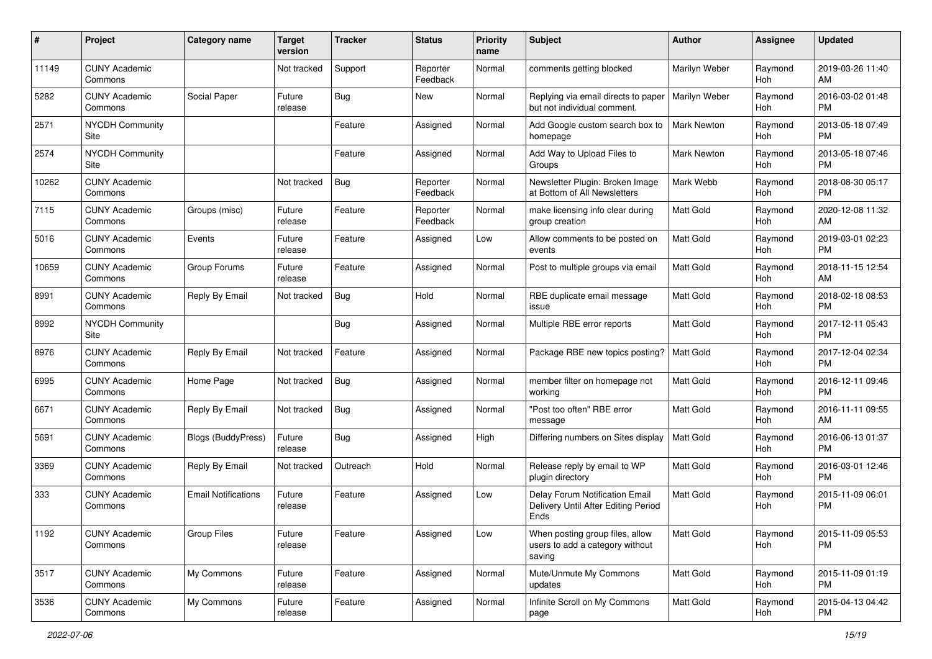| #     | Project                         | <b>Category name</b>       | <b>Target</b><br>version | <b>Tracker</b> | <b>Status</b>        | <b>Priority</b><br>name | <b>Subject</b>                                                                | Author             | <b>Assignee</b> | <b>Updated</b>                |
|-------|---------------------------------|----------------------------|--------------------------|----------------|----------------------|-------------------------|-------------------------------------------------------------------------------|--------------------|-----------------|-------------------------------|
| 11149 | <b>CUNY Academic</b><br>Commons |                            | Not tracked              | Support        | Reporter<br>Feedback | Normal                  | comments getting blocked                                                      | Marilyn Weber      | Raymond<br>Hoh  | 2019-03-26 11:40<br>AM        |
| 5282  | <b>CUNY Academic</b><br>Commons | Social Paper               | Future<br>release        | Bug            | New                  | Normal                  | Replying via email directs to paper<br>but not individual comment.            | Marilyn Weber      | Raymond<br>Hoh  | 2016-03-02 01:48<br><b>PM</b> |
| 2571  | <b>NYCDH Community</b><br>Site  |                            |                          | Feature        | Assigned             | Normal                  | Add Google custom search box to<br>homepage                                   | <b>Mark Newton</b> | Raymond<br>Hoh  | 2013-05-18 07:49<br><b>PM</b> |
| 2574  | <b>NYCDH Community</b><br>Site  |                            |                          | Feature        | Assigned             | Normal                  | Add Way to Upload Files to<br>Groups                                          | <b>Mark Newton</b> | Raymond<br>Hoh  | 2013-05-18 07:46<br><b>PM</b> |
| 10262 | <b>CUNY Academic</b><br>Commons |                            | Not tracked              | Bug            | Reporter<br>Feedback | Normal                  | Newsletter Plugin: Broken Image<br>at Bottom of All Newsletters               | Mark Webb          | Raymond<br>Hoh  | 2018-08-30 05:17<br><b>PM</b> |
| 7115  | <b>CUNY Academic</b><br>Commons | Groups (misc)              | Future<br>release        | Feature        | Reporter<br>Feedback | Normal                  | make licensing info clear during<br>group creation                            | <b>Matt Gold</b>   | Raymond<br>Hoh  | 2020-12-08 11:32<br>AM        |
| 5016  | <b>CUNY Academic</b><br>Commons | Events                     | Future<br>release        | Feature        | Assigned             | Low                     | Allow comments to be posted on<br>events                                      | <b>Matt Gold</b>   | Raymond<br>Hoh  | 2019-03-01 02:23<br><b>PM</b> |
| 10659 | <b>CUNY Academic</b><br>Commons | Group Forums               | Future<br>release        | Feature        | Assigned             | Normal                  | Post to multiple groups via email                                             | <b>Matt Gold</b>   | Raymond<br>Hoh  | 2018-11-15 12:54<br>AM        |
| 8991  | <b>CUNY Academic</b><br>Commons | Reply By Email             | Not tracked              | Bug            | Hold                 | Normal                  | RBE duplicate email message<br>issue                                          | <b>Matt Gold</b>   | Raymond<br>Hoh  | 2018-02-18 08:53<br><b>PM</b> |
| 8992  | <b>NYCDH Community</b><br>Site  |                            |                          | <b>Bug</b>     | Assigned             | Normal                  | Multiple RBE error reports                                                    | Matt Gold          | Raymond<br>Hoh  | 2017-12-11 05:43<br><b>PM</b> |
| 8976  | <b>CUNY Academic</b><br>Commons | Reply By Email             | Not tracked              | Feature        | Assigned             | Normal                  | Package RBE new topics posting?                                               | <b>Matt Gold</b>   | Raymond<br>Hoh  | 2017-12-04 02:34<br><b>PM</b> |
| 6995  | <b>CUNY Academic</b><br>Commons | Home Page                  | Not tracked              | Bug            | Assigned             | Normal                  | member filter on homepage not<br>working                                      | <b>Matt Gold</b>   | Raymond<br>Hoh  | 2016-12-11 09:46<br><b>PM</b> |
| 6671  | <b>CUNY Academic</b><br>Commons | Reply By Email             | Not tracked              | <b>Bug</b>     | Assigned             | Normal                  | "Post too often" RBE error<br>message                                         | <b>Matt Gold</b>   | Raymond<br>Hoh  | 2016-11-11 09:55<br>AM        |
| 5691  | <b>CUNY Academic</b><br>Commons | Blogs (BuddyPress)         | Future<br>release        | <b>Bug</b>     | Assigned             | High                    | Differing numbers on Sites display                                            | <b>Matt Gold</b>   | Raymond<br>Hoh  | 2016-06-13 01:37<br><b>PM</b> |
| 3369  | <b>CUNY Academic</b><br>Commons | Reply By Email             | Not tracked              | Outreach       | Hold                 | Normal                  | Release reply by email to WP<br>plugin directory                              | <b>Matt Gold</b>   | Raymond<br>Hoh  | 2016-03-01 12:46<br><b>PM</b> |
| 333   | <b>CUNY Academic</b><br>Commons | <b>Email Notifications</b> | Future<br>release        | Feature        | Assigned             | Low                     | Delay Forum Notification Email<br>Delivery Until After Editing Period<br>Ends | <b>Matt Gold</b>   | Raymond<br>Hoh  | 2015-11-09 06:01<br><b>PM</b> |
| 1192  | <b>CUNY Academic</b><br>Commons | Group Files                | Future<br>release        | Feature        | Assigned             | Low                     | When posting group files, allow<br>users to add a category without<br>saving  | Matt Gold          | Raymond<br>Hoh  | 2015-11-09 05:53<br><b>PM</b> |
| 3517  | <b>CUNY Academic</b><br>Commons | My Commons                 | Future<br>release        | Feature        | Assigned             | Normal                  | Mute/Unmute My Commons<br>updates                                             | Matt Gold          | Raymond<br>Hoh  | 2015-11-09 01:19<br><b>PM</b> |
| 3536  | <b>CUNY Academic</b><br>Commons | My Commons                 | Future<br>release        | Feature        | Assigned             | Normal                  | Infinite Scroll on My Commons<br>page                                         | <b>Matt Gold</b>   | Raymond<br>Hoh  | 2015-04-13 04:42<br><b>PM</b> |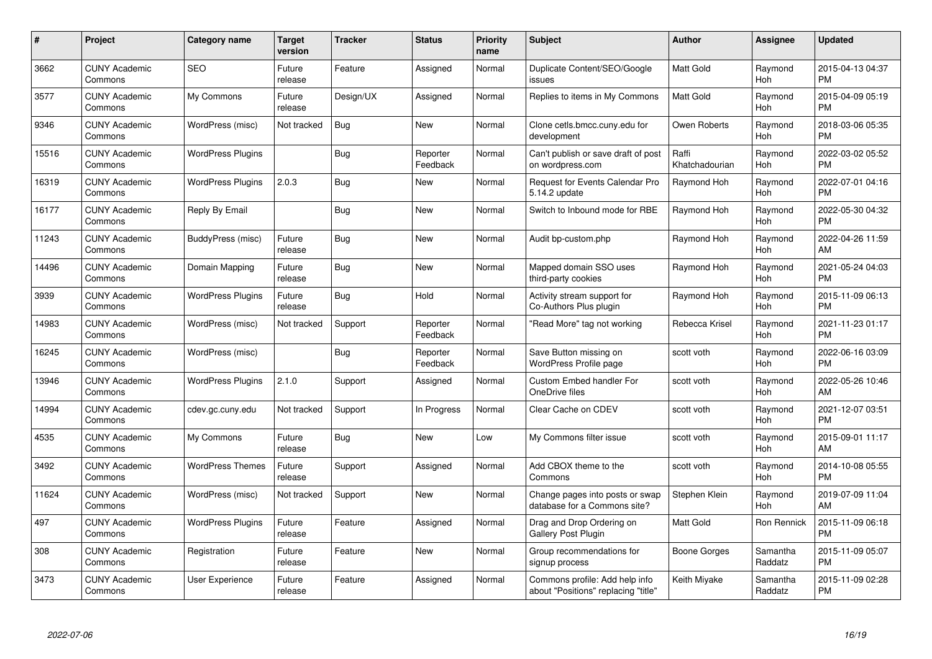| $\#$  | Project                         | <b>Category name</b>     | <b>Target</b><br>version | <b>Tracker</b> | <b>Status</b>        | <b>Priority</b><br>name | <b>Subject</b>                                                        | <b>Author</b>           | <b>Assignee</b>     | <b>Updated</b>                |
|-------|---------------------------------|--------------------------|--------------------------|----------------|----------------------|-------------------------|-----------------------------------------------------------------------|-------------------------|---------------------|-------------------------------|
| 3662  | <b>CUNY Academic</b><br>Commons | <b>SEO</b>               | Future<br>release        | Feature        | Assigned             | Normal                  | Duplicate Content/SEO/Google<br>issues                                | <b>Matt Gold</b>        | Raymond<br>Hoh      | 2015-04-13 04:37<br><b>PM</b> |
| 3577  | <b>CUNY Academic</b><br>Commons | My Commons               | Future<br>release        | Design/UX      | Assigned             | Normal                  | Replies to items in My Commons                                        | <b>Matt Gold</b>        | Raymond<br>Hoh      | 2015-04-09 05:19<br><b>PM</b> |
| 9346  | <b>CUNY Academic</b><br>Commons | WordPress (misc)         | Not tracked              | <b>Bug</b>     | New                  | Normal                  | Clone cetls.bmcc.cuny.edu for<br>development                          | Owen Roberts            | Raymond<br>Hoh      | 2018-03-06 05:35<br><b>PM</b> |
| 15516 | <b>CUNY Academic</b><br>Commons | <b>WordPress Plugins</b> |                          | Bug            | Reporter<br>Feedback | Normal                  | Can't publish or save draft of post<br>on wordpress.com               | Raffi<br>Khatchadourian | Raymond<br>Hoh      | 2022-03-02 05:52<br><b>PM</b> |
| 16319 | <b>CUNY Academic</b><br>Commons | <b>WordPress Plugins</b> | 2.0.3                    | Bug            | <b>New</b>           | Normal                  | <b>Request for Events Calendar Pro</b><br>5.14.2 update               | Raymond Hoh             | Raymond<br>Hoh      | 2022-07-01 04:16<br><b>PM</b> |
| 16177 | <b>CUNY Academic</b><br>Commons | Reply By Email           |                          | Bug            | <b>New</b>           | Normal                  | Switch to Inbound mode for RBE                                        | Raymond Hoh             | Raymond<br>Hoh      | 2022-05-30 04:32<br><b>PM</b> |
| 11243 | <b>CUNY Academic</b><br>Commons | BuddyPress (misc)        | Future<br>release        | Bug            | <b>New</b>           | Normal                  | Audit bp-custom.php                                                   | Raymond Hoh             | Raymond<br>Hoh      | 2022-04-26 11:59<br>AM        |
| 14496 | <b>CUNY Academic</b><br>Commons | Domain Mapping           | Future<br>release        | Bug            | <b>New</b>           | Normal                  | Mapped domain SSO uses<br>third-party cookies                         | Raymond Hoh             | Raymond<br>Hoh      | 2021-05-24 04:03<br><b>PM</b> |
| 3939  | <b>CUNY Academic</b><br>Commons | <b>WordPress Plugins</b> | Future<br>release        | <b>Bug</b>     | Hold                 | Normal                  | Activity stream support for<br>Co-Authors Plus plugin                 | Raymond Hoh             | Raymond<br>Hoh      | 2015-11-09 06:13<br><b>PM</b> |
| 14983 | <b>CUNY Academic</b><br>Commons | WordPress (misc)         | Not tracked              | Support        | Reporter<br>Feedback | Normal                  | 'Read More" tag not working                                           | Rebecca Krisel          | Raymond<br>Hoh      | 2021-11-23 01:17<br><b>PM</b> |
| 16245 | <b>CUNY Academic</b><br>Commons | WordPress (misc)         |                          | Bug            | Reporter<br>Feedback | Normal                  | Save Button missing on<br>WordPress Profile page                      | scott voth              | Raymond<br>Hoh      | 2022-06-16 03:09<br><b>PM</b> |
| 13946 | <b>CUNY Academic</b><br>Commons | <b>WordPress Plugins</b> | 2.1.0                    | Support        | Assigned             | Normal                  | <b>Custom Embed handler For</b><br>OneDrive files                     | scott voth              | Raymond<br>Hoh      | 2022-05-26 10:46<br>AM        |
| 14994 | <b>CUNY Academic</b><br>Commons | cdev.gc.cuny.edu         | Not tracked              | Support        | In Progress          | Normal                  | Clear Cache on CDEV                                                   | scott voth              | Raymond<br>Hoh      | 2021-12-07 03:51<br><b>PM</b> |
| 4535  | <b>CUNY Academic</b><br>Commons | My Commons               | Future<br>release        | Bug            | <b>New</b>           | Low                     | My Commons filter issue                                               | scott voth              | Raymond<br>Hoh      | 2015-09-01 11:17<br>AM        |
| 3492  | <b>CUNY Academic</b><br>Commons | <b>WordPress Themes</b>  | Future<br>release        | Support        | Assigned             | Normal                  | Add CBOX theme to the<br>Commons                                      | scott voth              | Raymond<br>Hoh      | 2014-10-08 05:55<br><b>PM</b> |
| 11624 | <b>CUNY Academic</b><br>Commons | WordPress (misc)         | Not tracked              | Support        | <b>New</b>           | Normal                  | Change pages into posts or swap<br>database for a Commons site?       | Stephen Klein           | Raymond<br>Hoh      | 2019-07-09 11:04<br>AM        |
| 497   | <b>CUNY Academic</b><br>Commons | <b>WordPress Plugins</b> | Future<br>release        | Feature        | Assigned             | Normal                  | Drag and Drop Ordering on<br>Gallery Post Plugin                      | Matt Gold               | Ron Rennick         | 2015-11-09 06:18<br><b>PM</b> |
| 308   | <b>CUNY Academic</b><br>Commons | Registration             | Future<br>release        | Feature        | New                  | Normal                  | Group recommendations for<br>signup process                           | Boone Gorges            | Samantha<br>Raddatz | 2015-11-09 05:07<br><b>PM</b> |
| 3473  | <b>CUNY Academic</b><br>Commons | User Experience          | Future<br>release        | Feature        | Assigned             | Normal                  | Commons profile: Add help info<br>about "Positions" replacing "title" | Keith Miyake            | Samantha<br>Raddatz | 2015-11-09 02:28<br><b>PM</b> |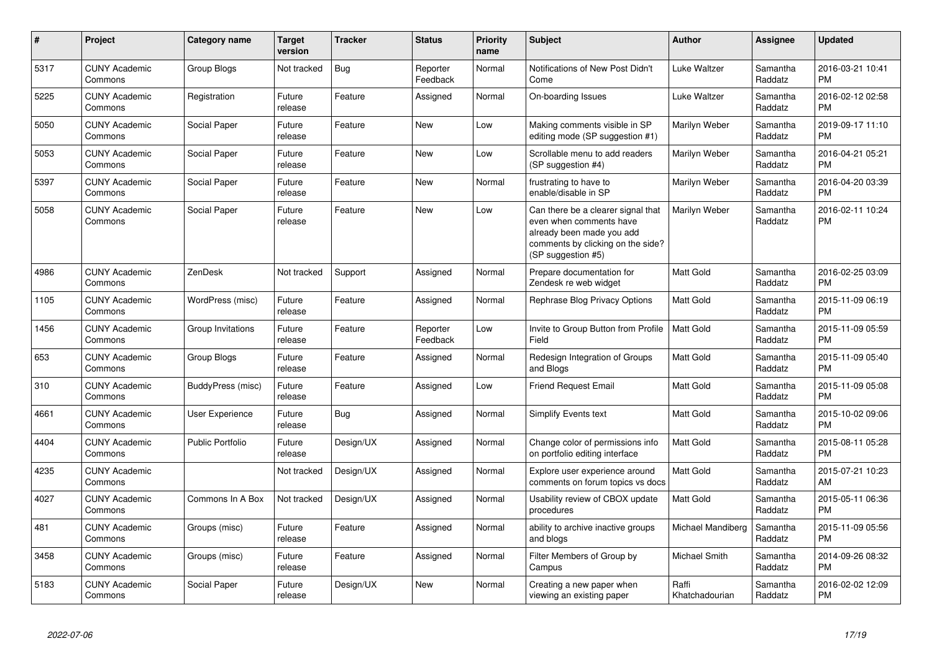| #    | <b>Project</b>                  | Category name           | <b>Target</b><br>version | <b>Tracker</b> | <b>Status</b>        | Priority<br>name | <b>Subject</b>                                                                                                                                        | <b>Author</b>           | Assignee            | <b>Updated</b>                |
|------|---------------------------------|-------------------------|--------------------------|----------------|----------------------|------------------|-------------------------------------------------------------------------------------------------------------------------------------------------------|-------------------------|---------------------|-------------------------------|
| 5317 | <b>CUNY Academic</b><br>Commons | Group Blogs             | Not tracked              | Bug            | Reporter<br>Feedback | Normal           | Notifications of New Post Didn't<br>Come                                                                                                              | Luke Waltzer            | Samantha<br>Raddatz | 2016-03-21 10:41<br><b>PM</b> |
| 5225 | <b>CUNY Academic</b><br>Commons | Registration            | Future<br>release        | Feature        | Assigned             | Normal           | On-boarding Issues                                                                                                                                    | Luke Waltzer            | Samantha<br>Raddatz | 2016-02-12 02:58<br><b>PM</b> |
| 5050 | <b>CUNY Academic</b><br>Commons | Social Paper            | Future<br>release        | Feature        | <b>New</b>           | Low              | Making comments visible in SP<br>editing mode (SP suggestion #1)                                                                                      | Marilyn Weber           | Samantha<br>Raddatz | 2019-09-17 11:10<br><b>PM</b> |
| 5053 | <b>CUNY Academic</b><br>Commons | Social Paper            | Future<br>release        | Feature        | <b>New</b>           | Low              | Scrollable menu to add readers<br>(SP suggestion #4)                                                                                                  | Marilyn Weber           | Samantha<br>Raddatz | 2016-04-21 05:21<br><b>PM</b> |
| 5397 | <b>CUNY Academic</b><br>Commons | Social Paper            | Future<br>release        | Feature        | New                  | Normal           | frustrating to have to<br>enable/disable in SP                                                                                                        | Marilyn Weber           | Samantha<br>Raddatz | 2016-04-20 03:39<br><b>PM</b> |
| 5058 | <b>CUNY Academic</b><br>Commons | Social Paper            | Future<br>release        | Feature        | New                  | Low              | Can there be a clearer signal that<br>even when comments have<br>already been made you add<br>comments by clicking on the side?<br>(SP suggestion #5) | <b>Marilyn Weber</b>    | Samantha<br>Raddatz | 2016-02-11 10:24<br><b>PM</b> |
| 4986 | <b>CUNY Academic</b><br>Commons | ZenDesk                 | Not tracked              | Support        | Assigned             | Normal           | Prepare documentation for<br>Zendesk re web widget                                                                                                    | <b>Matt Gold</b>        | Samantha<br>Raddatz | 2016-02-25 03:09<br><b>PM</b> |
| 1105 | <b>CUNY Academic</b><br>Commons | WordPress (misc)        | Future<br>release        | Feature        | Assigned             | Normal           | Rephrase Blog Privacy Options                                                                                                                         | <b>Matt Gold</b>        | Samantha<br>Raddatz | 2015-11-09 06:19<br><b>PM</b> |
| 1456 | <b>CUNY Academic</b><br>Commons | Group Invitations       | Future<br>release        | Feature        | Reporter<br>Feedback | Low              | Invite to Group Button from Profile<br>Field                                                                                                          | <b>Matt Gold</b>        | Samantha<br>Raddatz | 2015-11-09 05:59<br><b>PM</b> |
| 653  | <b>CUNY Academic</b><br>Commons | Group Blogs             | Future<br>release        | Feature        | Assigned             | Normal           | Redesign Integration of Groups<br>and Blogs                                                                                                           | <b>Matt Gold</b>        | Samantha<br>Raddatz | 2015-11-09 05:40<br><b>PM</b> |
| 310  | <b>CUNY Academic</b><br>Commons | BuddyPress (misc)       | Future<br>release        | Feature        | Assigned             | Low              | <b>Friend Request Email</b>                                                                                                                           | <b>Matt Gold</b>        | Samantha<br>Raddatz | 2015-11-09 05:08<br><b>PM</b> |
| 4661 | <b>CUNY Academic</b><br>Commons | User Experience         | Future<br>release        | Bug            | Assigned             | Normal           | <b>Simplify Events text</b>                                                                                                                           | <b>Matt Gold</b>        | Samantha<br>Raddatz | 2015-10-02 09:06<br><b>PM</b> |
| 4404 | <b>CUNY Academic</b><br>Commons | <b>Public Portfolio</b> | Future<br>release        | Design/UX      | Assigned             | Normal           | Change color of permissions info<br>on portfolio editing interface                                                                                    | <b>Matt Gold</b>        | Samantha<br>Raddatz | 2015-08-11 05:28<br><b>PM</b> |
| 4235 | <b>CUNY Academic</b><br>Commons |                         | Not tracked              | Design/UX      | Assigned             | Normal           | Explore user experience around<br>comments on forum topics vs docs                                                                                    | <b>Matt Gold</b>        | Samantha<br>Raddatz | 2015-07-21 10:23<br>AM        |
| 4027 | <b>CUNY Academic</b><br>Commons | Commons In A Box        | Not tracked              | Design/UX      | Assigned             | Normal           | Usability review of CBOX update<br>procedures                                                                                                         | <b>Matt Gold</b>        | Samantha<br>Raddatz | 2015-05-11 06:36<br><b>PM</b> |
| 481  | <b>CUNY Academic</b><br>Commons | Groups (misc)           | Future<br>release        | Feature        | Assigned             | Normal           | ability to archive inactive groups<br>and blogs                                                                                                       | Michael Mandiberg       | Samantha<br>Raddatz | 2015-11-09 05:56<br><b>PM</b> |
| 3458 | <b>CUNY Academic</b><br>Commons | Groups (misc)           | Future<br>release        | Feature        | Assigned             | Normal           | Filter Members of Group by<br>Campus                                                                                                                  | Michael Smith           | Samantha<br>Raddatz | 2014-09-26 08:32<br><b>PM</b> |
| 5183 | <b>CUNY Academic</b><br>Commons | Social Paper            | Future<br>release        | Design/UX      | New                  | Normal           | Creating a new paper when<br>viewing an existing paper                                                                                                | Raffi<br>Khatchadourian | Samantha<br>Raddatz | 2016-02-02 12:09<br><b>PM</b> |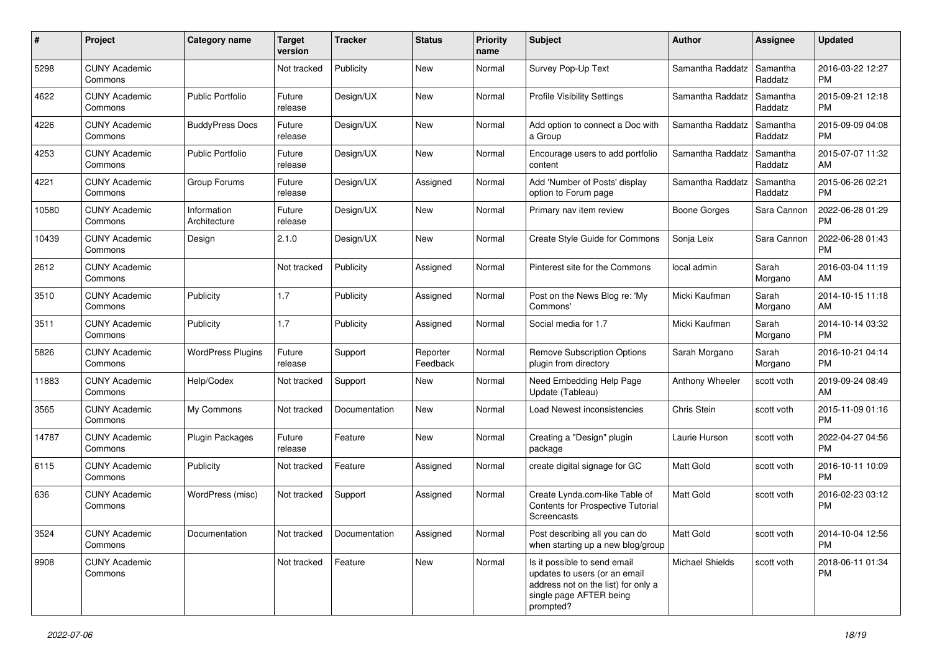| #     | Project                         | <b>Category name</b>        | <b>Target</b><br>version | <b>Tracker</b> | <b>Status</b>        | Priority<br>name | <b>Subject</b>                                                                                                                               | Author              | <b>Assignee</b>     | <b>Updated</b>                |
|-------|---------------------------------|-----------------------------|--------------------------|----------------|----------------------|------------------|----------------------------------------------------------------------------------------------------------------------------------------------|---------------------|---------------------|-------------------------------|
| 5298  | <b>CUNY Academic</b><br>Commons |                             | Not tracked              | Publicity      | New                  | Normal           | Survey Pop-Up Text                                                                                                                           | Samantha Raddatz    | Samantha<br>Raddatz | 2016-03-22 12:27<br><b>PM</b> |
| 4622  | <b>CUNY Academic</b><br>Commons | <b>Public Portfolio</b>     | Future<br>release        | Design/UX      | New                  | Normal           | <b>Profile Visibility Settings</b>                                                                                                           | Samantha Raddatz    | Samantha<br>Raddatz | 2015-09-21 12:18<br><b>PM</b> |
| 4226  | <b>CUNY Academic</b><br>Commons | <b>BuddyPress Docs</b>      | Future<br>release        | Design/UX      | New                  | Normal           | Add option to connect a Doc with<br>a Group                                                                                                  | Samantha Raddatz    | Samantha<br>Raddatz | 2015-09-09 04:08<br><b>PM</b> |
| 4253  | <b>CUNY Academic</b><br>Commons | <b>Public Portfolio</b>     | Future<br>release        | Design/UX      | New                  | Normal           | Encourage users to add portfolio<br>content                                                                                                  | Samantha Raddatz    | Samantha<br>Raddatz | 2015-07-07 11:32<br>AM        |
| 4221  | <b>CUNY Academic</b><br>Commons | Group Forums                | Future<br>release        | Design/UX      | Assigned             | Normal           | Add 'Number of Posts' display<br>option to Forum page                                                                                        | Samantha Raddatz    | Samantha<br>Raddatz | 2015-06-26 02:21<br><b>PM</b> |
| 10580 | <b>CUNY Academic</b><br>Commons | Information<br>Architecture | Future<br>release        | Design/UX      | New                  | Normal           | Primary nav item review                                                                                                                      | <b>Boone Gorges</b> | Sara Cannon         | 2022-06-28 01:29<br><b>PM</b> |
| 10439 | <b>CUNY Academic</b><br>Commons | Design                      | 2.1.0                    | Design/UX      | <b>New</b>           | Normal           | Create Style Guide for Commons                                                                                                               | Sonja Leix          | Sara Cannon         | 2022-06-28 01:43<br><b>PM</b> |
| 2612  | <b>CUNY Academic</b><br>Commons |                             | Not tracked              | Publicity      | Assigned             | Normal           | Pinterest site for the Commons                                                                                                               | local admin         | Sarah<br>Morgano    | 2016-03-04 11:19<br>AM        |
| 3510  | <b>CUNY Academic</b><br>Commons | Publicity                   | 1.7                      | Publicity      | Assigned             | Normal           | Post on the News Blog re: 'My<br>Commons'                                                                                                    | Micki Kaufman       | Sarah<br>Morgano    | 2014-10-15 11:18<br>AM        |
| 3511  | <b>CUNY Academic</b><br>Commons | Publicity                   | 1.7                      | Publicity      | Assigned             | Normal           | Social media for 1.7                                                                                                                         | Micki Kaufman       | Sarah<br>Morgano    | 2014-10-14 03:32<br><b>PM</b> |
| 5826  | <b>CUNY Academic</b><br>Commons | <b>WordPress Plugins</b>    | Future<br>release        | Support        | Reporter<br>Feedback | Normal           | <b>Remove Subscription Options</b><br>plugin from directory                                                                                  | Sarah Morgano       | Sarah<br>Morgano    | 2016-10-21 04:14<br><b>PM</b> |
| 11883 | <b>CUNY Academic</b><br>Commons | Help/Codex                  | Not tracked              | Support        | New                  | Normal           | Need Embedding Help Page<br>Update (Tableau)                                                                                                 | Anthony Wheeler     | scott voth          | 2019-09-24 08:49<br>AM        |
| 3565  | <b>CUNY Academic</b><br>Commons | My Commons                  | Not tracked              | Documentation  | New                  | Normal           | Load Newest inconsistencies                                                                                                                  | Chris Stein         | scott voth          | 2015-11-09 01:16<br><b>PM</b> |
| 14787 | <b>CUNY Academic</b><br>Commons | Plugin Packages             | Future<br>release        | Feature        | <b>New</b>           | Normal           | Creating a "Design" plugin<br>package                                                                                                        | Laurie Hurson       | scott voth          | 2022-04-27 04:56<br><b>PM</b> |
| 6115  | <b>CUNY Academic</b><br>Commons | Publicity                   | Not tracked              | Feature        | Assigned             | Normal           | create digital signage for GC                                                                                                                | <b>Matt Gold</b>    | scott voth          | 2016-10-11 10:09<br><b>PM</b> |
| 636   | <b>CUNY Academic</b><br>Commons | WordPress (misc)            | Not tracked              | Support        | Assigned             | Normal           | Create Lynda.com-like Table of<br>Contents for Prospective Tutorial<br>Screencasts                                                           | Matt Gold           | scott voth          | 2016-02-23 03:12<br><b>PM</b> |
| 3524  | <b>CUNY Academic</b><br>Commons | Documentation               | Not tracked              | Documentation  | Assigned             | Normal           | Post describing all you can do<br>when starting up a new blog/group                                                                          | <b>Matt Gold</b>    | scott voth          | 2014-10-04 12:56<br>PM        |
| 9908  | <b>CUNY Academic</b><br>Commons |                             | Not tracked              | Feature        | New                  | Normal           | Is it possible to send email<br>updates to users (or an email<br>address not on the list) for only a<br>single page AFTER being<br>prompted? | Michael Shields     | scott voth          | 2018-06-11 01:34<br>PM        |